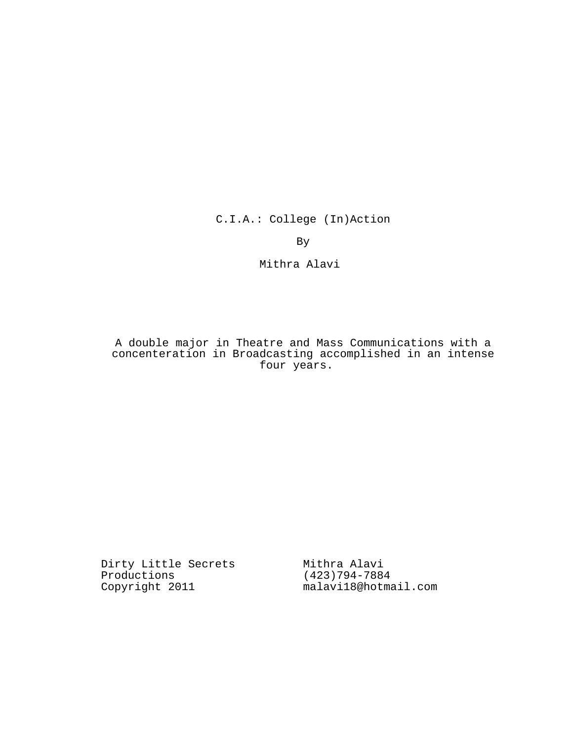C.I.A.: College (In)Action

By

Mithra Alavi

# A double major in Theatre and Mass Communications with a concenteration in Broadcasting accomplished in an intense four years.

Dirty Little Secrets Mithra Alavi Productions Copyright 2011

(423)794-7884 malavi18@hotmail.com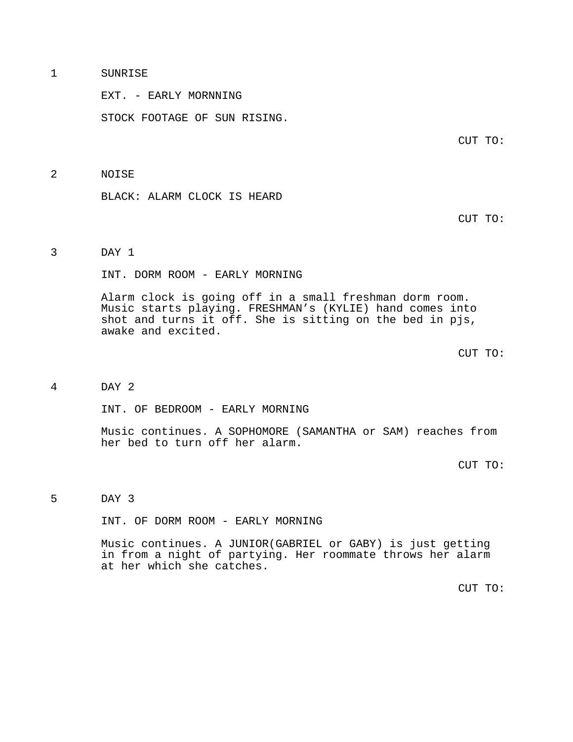## 1 SUNRISE

EXT. - EARLY MORNNING

STOCK FOOTAGE OF SUN RISING.

CUT TO:

### 2 NOISE

BLACK: ALARM CLOCK IS HEARD

CUT TO:

# 3 DAY 1

INT. DORM ROOM - EARLY MORNING

Alarm clock is going off in a small freshman dorm room. Music starts playing. FRESHMAN's (KYLIE) hand comes into shot and turns it off. She is sitting on the bed in pjs, awake and excited.

CUT TO:

### 4 DAY 2

INT. OF BEDROOM - EARLY MORNING

Music continues. A SOPHOMORE (SAMANTHA or SAM) reaches from her bed to turn off her alarm.

CUT TO:

5 DAY 3

INT. OF DORM ROOM - EARLY MORNING

Music continues. A JUNIOR(GABRIEL or GABY) is just getting in from a night of partying. Her roommate throws her alarm at her which she catches.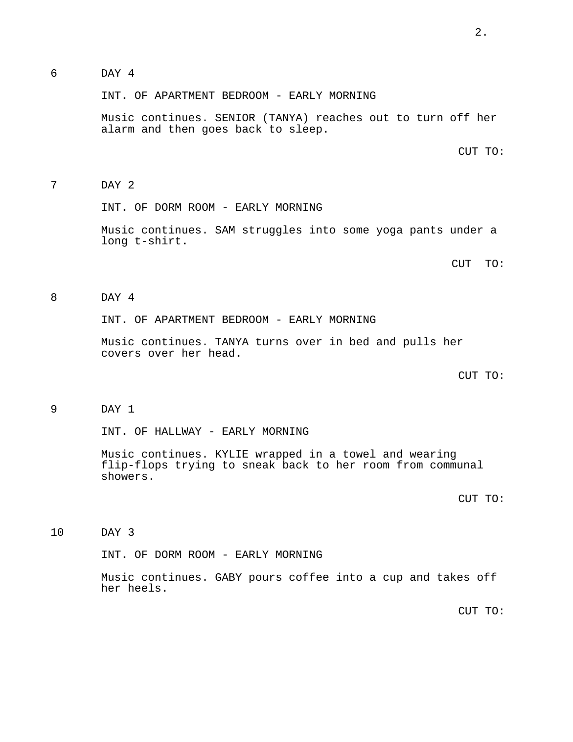6 DAY 4

INT. OF APARTMENT BEDROOM - EARLY MORNING

Music continues. SENIOR (TANYA) reaches out to turn off her alarm and then goes back to sleep.

CUT TO:

7 DAY 2

INT. OF DORM ROOM - EARLY MORNING

Music continues. SAM struggles into some yoga pants under a long t-shirt.

CUT TO:

8 DAY 4

INT. OF APARTMENT BEDROOM - EARLY MORNING

Music continues. TANYA turns over in bed and pulls her covers over her head.

CUT TO:

9 DAY 1

INT. OF HALLWAY - EARLY MORNING

Music continues. KYLIE wrapped in a towel and wearing flip-flops trying to sneak back to her room from communal showers.

CUT TO:

10 DAY 3

INT. OF DORM ROOM - EARLY MORNING

Music continues. GABY pours coffee into a cup and takes off her heels.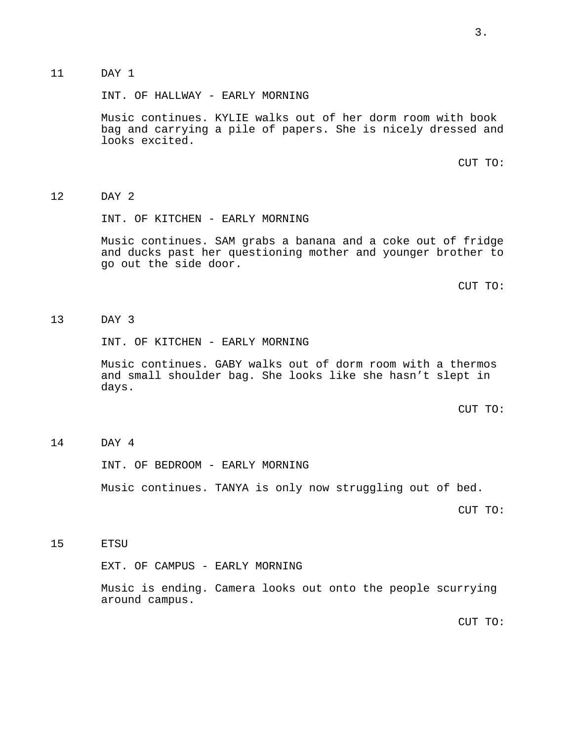# 11 DAY 1

INT. OF HALLWAY - EARLY MORNING

Music continues. KYLIE walks out of her dorm room with book bag and carrying a pile of papers. She is nicely dressed and looks excited.

CUT TO:

## 12 DAY 2

INT. OF KITCHEN - EARLY MORNING

Music continues. SAM grabs a banana and a coke out of fridge and ducks past her questioning mother and younger brother to go out the side door.

CUT TO:

# 13 DAY 3

INT. OF KITCHEN - EARLY MORNING

Music continues. GABY walks out of dorm room with a thermos and small shoulder bag. She looks like she hasn't slept in days.

CUT TO:

## 14 DAY 4

INT. OF BEDROOM - EARLY MORNING

Music continues. TANYA is only now struggling out of bed.

CUT TO:

15 ETSU

EXT. OF CAMPUS - EARLY MORNING

Music is ending. Camera looks out onto the people scurrying around campus.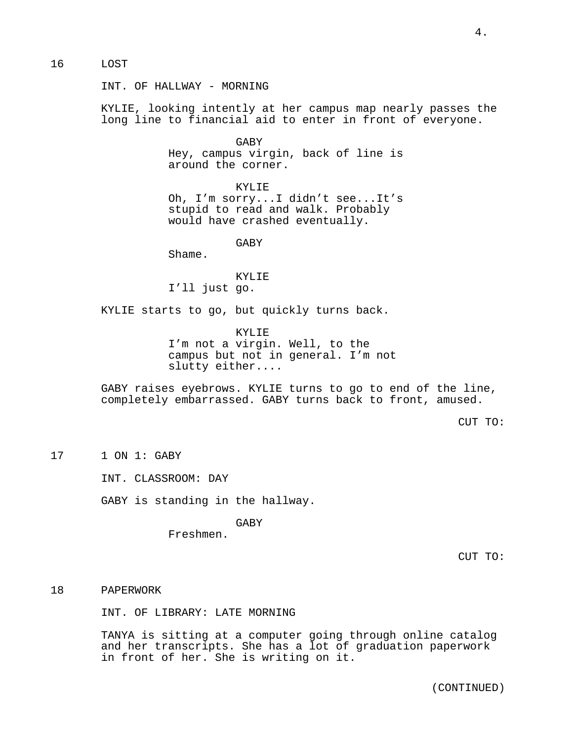### 16 LOST

INT. OF HALLWAY - MORNING

KYLIE, looking intently at her campus map nearly passes the long line to financial aid to enter in front of everyone.

> GABY Hey, campus virgin, back of line is around the corner.

> KYLIE Oh, I'm sorry...I didn't see...It's stupid to read and walk. Probably would have crashed eventually.

> > GABY

Shame.

KYLIE I'll just go.

KYLIE starts to go, but quickly turns back.

KYLIE I'm not a virgin. Well, to the campus but not in general. I'm not slutty either....

GABY raises eyebrows. KYLIE turns to go to end of the line, completely embarrassed. GABY turns back to front, amused.

CUT TO:

17 1 ON 1: GABY

INT. CLASSROOM: DAY

GABY is standing in the hallway.

GABY

Freshmen.

CUT TO:

## 18 PAPERWORK

INT. OF LIBRARY: LATE MORNING

TANYA is sitting at a computer going through online catalog and her transcripts. She has a lot of graduation paperwork in front of her. She is writing on it.

(CONTINUED)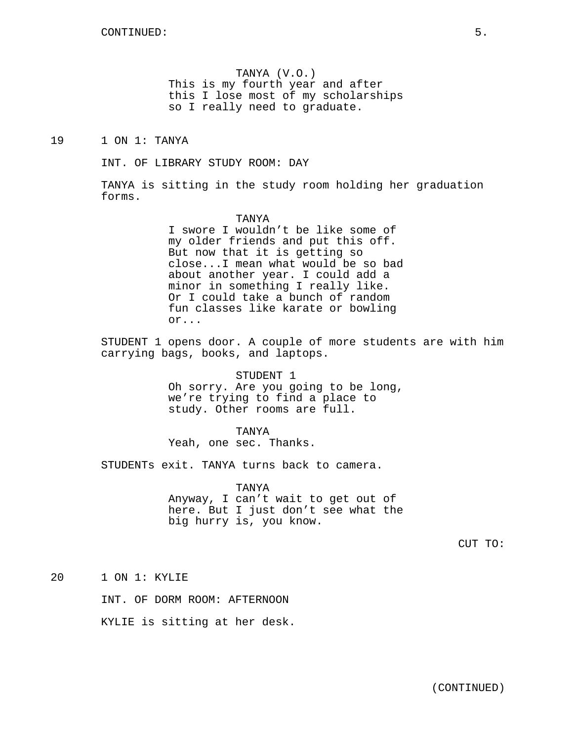TANYA (V.O.) This is my fourth year and after this I lose most of my scholarships so I really need to graduate.

19 1 ON 1: TANYA

INT. OF LIBRARY STUDY ROOM: DAY

TANYA is sitting in the study room holding her graduation forms.

> TANYA I swore I wouldn't be like some of my older friends and put this off. But now that it is getting so close...I mean what would be so bad about another year. I could add a minor in something I really like. Or I could take a bunch of random fun classes like karate or bowling or...

STUDENT 1 opens door. A couple of more students are with him carrying bags, books, and laptops.

> STUDENT 1 Oh sorry. Are you going to be long, we're trying to find a place to study. Other rooms are full.

TANYA Yeah, one sec. Thanks.

STUDENTs exit. TANYA turns back to camera.

TANYA Anyway, I can't wait to get out of here. But I just don't see what the big hurry is, you know.

CUT TO:

20 1 ON 1: KYLIE

INT. OF DORM ROOM: AFTERNOON

KYLIE is sitting at her desk.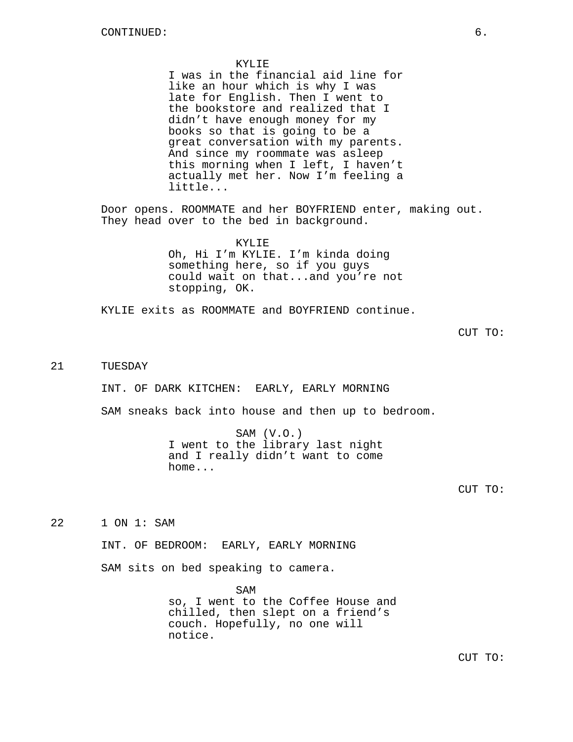#### KYLIE.

I was in the financial aid line for like an hour which is why I was late for English. Then I went to the bookstore and realized that I didn't have enough money for my books so that is going to be a great conversation with my parents. And since my roommate was asleep this morning when I left, I haven't actually met her. Now I'm feeling a little...

Door opens. ROOMMATE and her BOYFRIEND enter, making out. They head over to the bed in background.

## KYLIE

Oh, Hi I'm KYLIE. I'm kinda doing something here, so if you guys could wait on that...and you're not stopping, OK.

KYLIE exits as ROOMMATE and BOYFRIEND continue.

CUT TO:

# 21 TUESDAY

INT. OF DARK KITCHEN: EARLY, EARLY MORNING

SAM sneaks back into house and then up to bedroom.

SAM (V.O.) I went to the library last night and I really didn't want to come home...

CUT TO:

22 1 ON 1: SAM

INT. OF BEDROOM: EARLY, EARLY MORNING

SAM sits on bed speaking to camera.

SAM so, I went to the Coffee House and chilled, then slept on a friend's couch. Hopefully, no one will notice.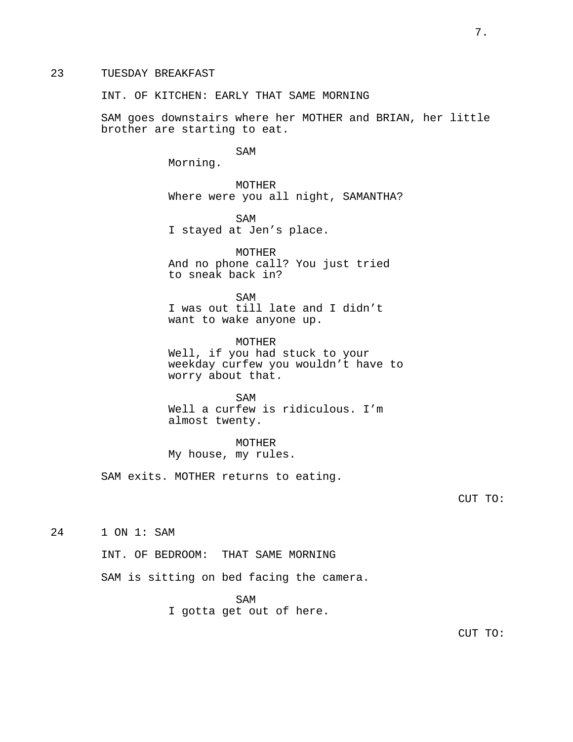# 23 TUESDAY BREAKFAST

INT. OF KITCHEN: EARLY THAT SAME MORNING

SAM goes downstairs where her MOTHER and BRIAN, her little brother are starting to eat.

SAM

Morning.

MOTHER Where were you all night, SAMANTHA?

SAM I stayed at Jen's place.

MOTHER And no phone call? You just tried to sneak back in?

SAM I was out till late and I didn't want to wake anyone up.

MOTHER Well, if you had stuck to your weekday curfew you wouldn't have to worry about that.

SAM Well a curfew is ridiculous. I'm almost twenty.

MOTHER My house, my rules.

SAM exits. MOTHER returns to eating.

CUT TO:

24 1 ON 1: SAM

INT. OF BEDROOM: THAT SAME MORNING

SAM is sitting on bed facing the camera.

SAM

I gotta get out of here.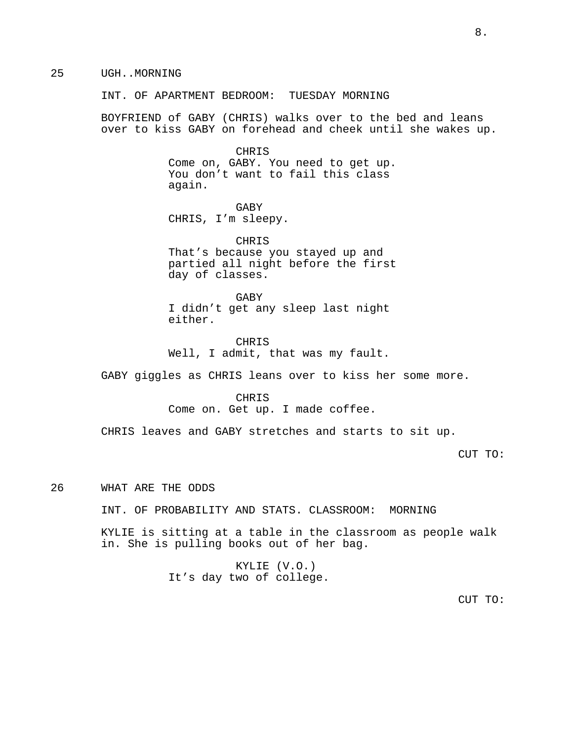25 UGH..MORNING

INT. OF APARTMENT BEDROOM: TUESDAY MORNING

BOYFRIEND of GABY (CHRIS) walks over to the bed and leans over to kiss GABY on forehead and cheek until she wakes up.

> CHRIS Come on, GABY. You need to get up. You don't want to fail this class again.

GABY CHRIS, I'm sleepy.

CHRIS That's because you stayed up and partied all night before the first day of classes.

GABY I didn't get any sleep last night either.

CHRIS Well, I admit, that was my fault.

GABY giggles as CHRIS leans over to kiss her some more.

CHRIS Come on. Get up. I made coffee.

CHRIS leaves and GABY stretches and starts to sit up.

CUT TO:

26 WHAT ARE THE ODDS

INT. OF PROBABILITY AND STATS. CLASSROOM: MORNING

KYLIE is sitting at a table in the classroom as people walk in. She is pulling books out of her bag.

> KYLIE (V.O.) It's day two of college.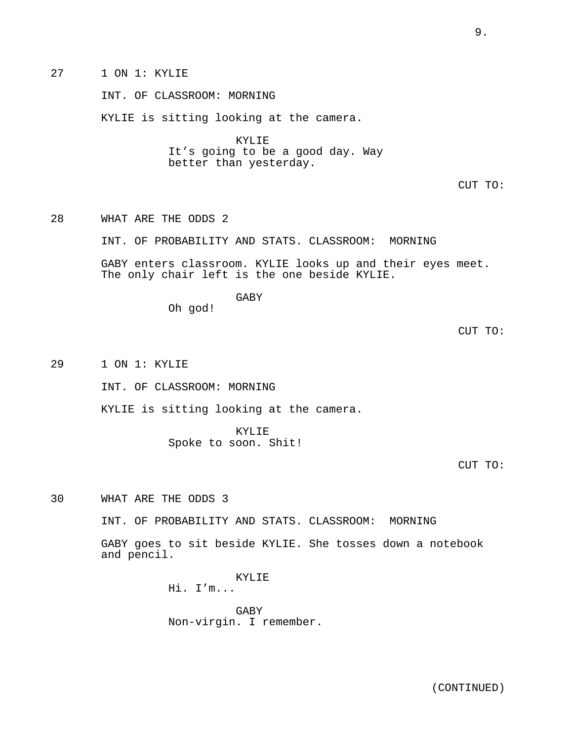INT. OF CLASSROOM: MORNING

KYLIE is sitting looking at the camera.

KYLIE It's going to be a good day. Way better than yesterday.

CUT TO:

28 WHAT ARE THE ODDS 2

INT. OF PROBABILITY AND STATS. CLASSROOM: MORNING

GABY enters classroom. KYLIE looks up and their eyes meet. The only chair left is the one beside KYLIE.

GABY

Oh god!

CUT TO:

29 1 ON 1: KYLIE

INT. OF CLASSROOM: MORNING

KYLIE is sitting looking at the camera.

KYLIE Spoke to soon. Shit!

## CUT TO:

30 WHAT ARE THE ODDS 3

INT. OF PROBABILITY AND STATS. CLASSROOM: MORNING

GABY goes to sit beside KYLIE. She tosses down a notebook and pencil.

> KYLIE Hi. I'm...

GABY Non-virgin. I remember.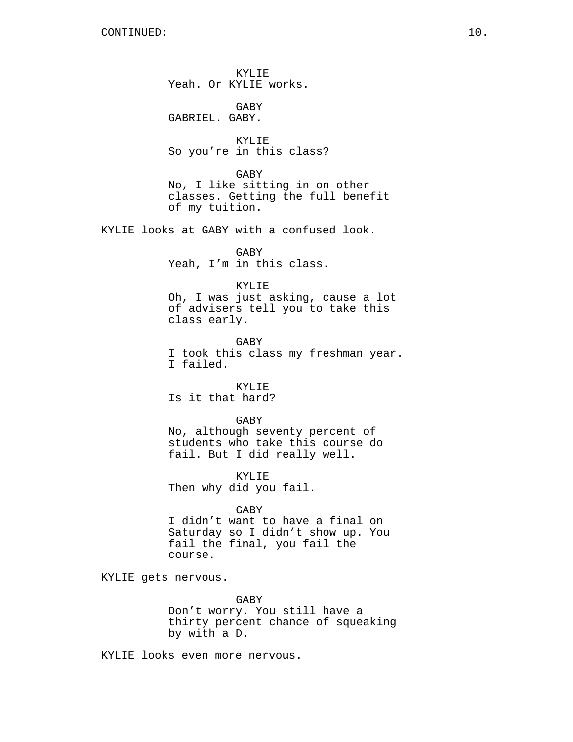KYLIE Yeah. Or KYLIE works.

GABY GABRIEL. GABY.

KYLIE So you're in this class?

GABY No, I like sitting in on other classes. Getting the full benefit of my tuition.

KYLIE looks at GABY with a confused look.

GABY Yeah, I'm in this class.

### KYLIE

Oh, I was just asking, cause a lot of advisers tell you to take this class early.

GABY I took this class my freshman year. I failed.

KYLIE Is it that hard?

### GABY

No, although seventy percent of students who take this course do fail. But I did really well.

KYLIE Then why did you fail.

### GABY

I didn't want to have a final on Saturday so I didn't show up. You fail the final, you fail the course.

KYLIE gets nervous.

GABY

Don't worry. You still have a thirty percent chance of squeaking by with a D.

KYLIE looks even more nervous.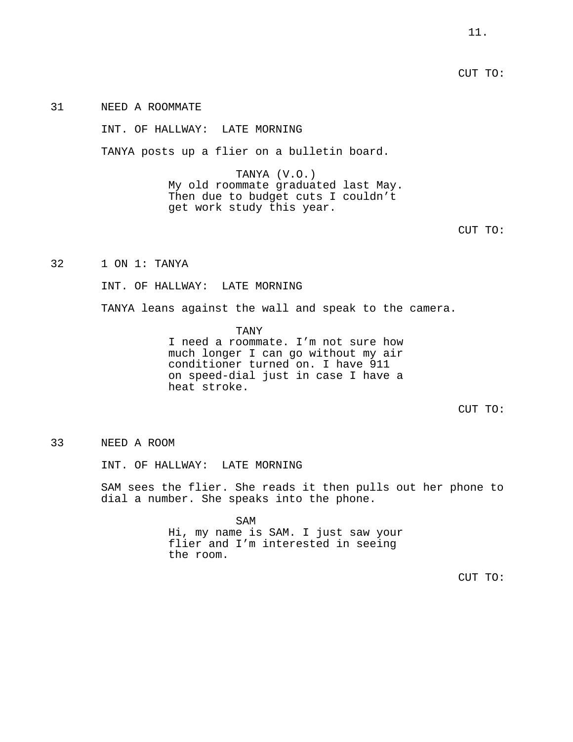CUT TO:

31 NEED A ROOMMATE

INT. OF HALLWAY: LATE MORNING

TANYA posts up a flier on a bulletin board.

TANYA (V.O.) My old roommate graduated last May. Then due to budget cuts I couldn't get work study this year.

32 1 ON 1: TANYA

INT. OF HALLWAY: LATE MORNING

TANYA leans against the wall and speak to the camera.

TANY I need a roommate. I'm not sure how much longer I can go without my air conditioner turned on. I have 911 on speed-dial just in case I have a heat stroke.

CUT TO:

## 33 NEED A ROOM

INT. OF HALLWAY: LATE MORNING

SAM sees the flier. She reads it then pulls out her phone to dial a number. She speaks into the phone.

> SAM Hi, my name is SAM. I just saw your flier and I'm interested in seeing the room.

CUT TO: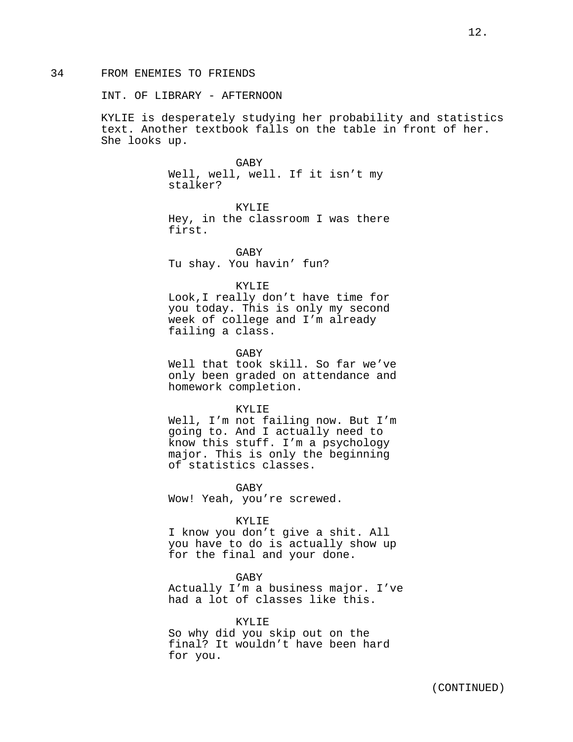#### INT. OF LIBRARY - AFTERNOON

KYLIE is desperately studying her probability and statistics text. Another textbook falls on the table in front of her. She looks up.

#### GABY

Well, well, well. If it isn't my stalker?

KYLIE Hey, in the classroom I was there first.

GABY Tu shay. You havin' fun?

## KYLIE

Look,I really don't have time for you today. This is only my second week of college and I'm already failing a class.

**GABY** 

Well that took skill. So far we've only been graded on attendance and homework completion.

### KYLIE

Well, I'm not failing now. But I'm going to. And I actually need to know this stuff. I'm a psychology major. This is only the beginning of statistics classes.

**GABY** Wow! Yeah, you're screwed.

#### KYLIE

I know you don't give a shit. All you have to do is actually show up for the final and your done.

GABY Actually I'm a business major. I've had a lot of classes like this.

KYLIE So why did you skip out on the final? It wouldn't have been hard for you.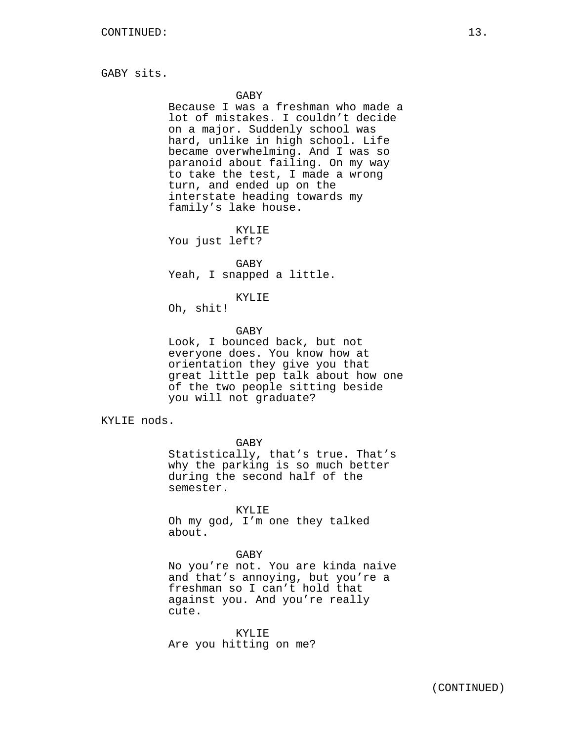GABY sits.

### GABY

Because I was a freshman who made a lot of mistakes. I couldn't decide on a major. Suddenly school was hard, unlike in high school. Life became overwhelming. And I was so paranoid about failing. On my way to take the test, I made a wrong turn, and ended up on the interstate heading towards my family's lake house.

KYLIE You just left?

GABY Yeah, I snapped a little.

#### KYLIE

Oh, shit!

### GABY

Look, I bounced back, but not everyone does. You know how at orientation they give you that great little pep talk about how one of the two people sitting beside you will not graduate?

KYLIE nods.

GABY

Statistically, that's true. That's why the parking is so much better during the second half of the semester.

KYLIE

Oh my god, I'm one they talked about.

## GABY

No you're not. You are kinda naive and that's annoying, but you're a freshman so I can't hold that against you. And you're really cute.

KYLIE Are you hitting on me?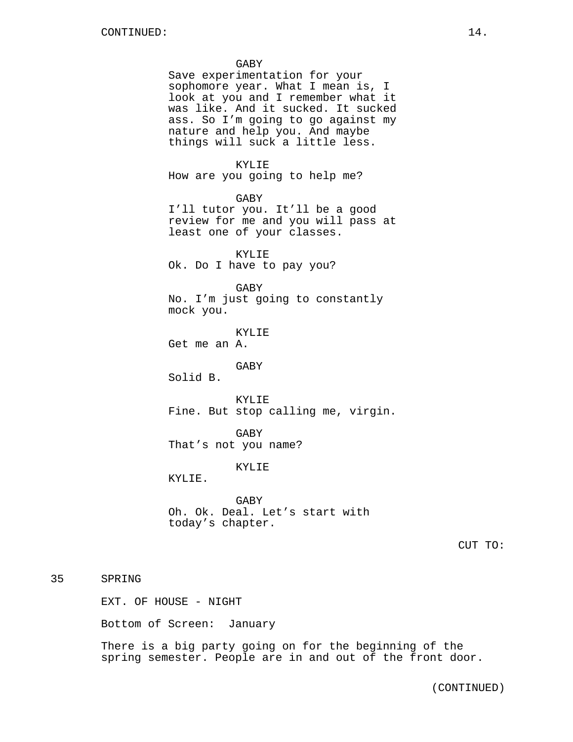### GABY

Save experimentation for your sophomore year. What I mean is, I look at you and I remember what it was like. And it sucked. It sucked ass. So I'm going to go against my nature and help you. And maybe things will suck a little less.

## KYLIE

How are you going to help me?

GABY

I'll tutor you. It'll be a good review for me and you will pass at least one of your classes.

KYLIE Ok. Do I have to pay you?

GABY

No. I'm just going to constantly mock you.

KYLIE

Get me an A.

GABY

Solid B.

KYLIE Fine. But stop calling me, virgin.

GABY That's not you name?

### KYLIE

KYLIE.

GABY Oh. Ok. Deal. Let's start with today's chapter.

CUT TO:

# 35 SPRING

EXT. OF HOUSE - NIGHT

Bottom of Screen: January

There is a big party going on for the beginning of the spring semester. People are in and out of the front door.

(CONTINUED)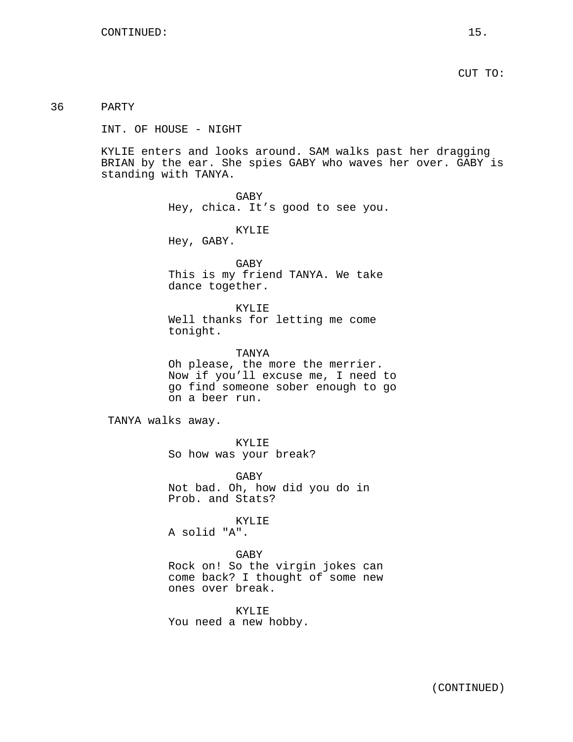CUT TO:

36 PARTY

INT. OF HOUSE - NIGHT

KYLIE enters and looks around. SAM walks past her dragging BRIAN by the ear. She spies GABY who waves her over. GABY is standing with TANYA.

> GABY Hey, chica. It's good to see you.

> > KYLIE

Hey, GABY.

GABY This is my friend TANYA. We take dance together.

KYLIE Well thanks for letting me come tonight.

TANYA Oh please, the more the merrier. Now if you'll excuse me, I need to go find someone sober enough to go on a beer run.

TANYA walks away.

KYLIE So how was your break?

GABY Not bad. Oh, how did you do in Prob. and Stats?

KYLIE

A solid "A".

# GABY

Rock on! So the virgin jokes can come back? I thought of some new ones over break.

KYLIE You need a new hobby.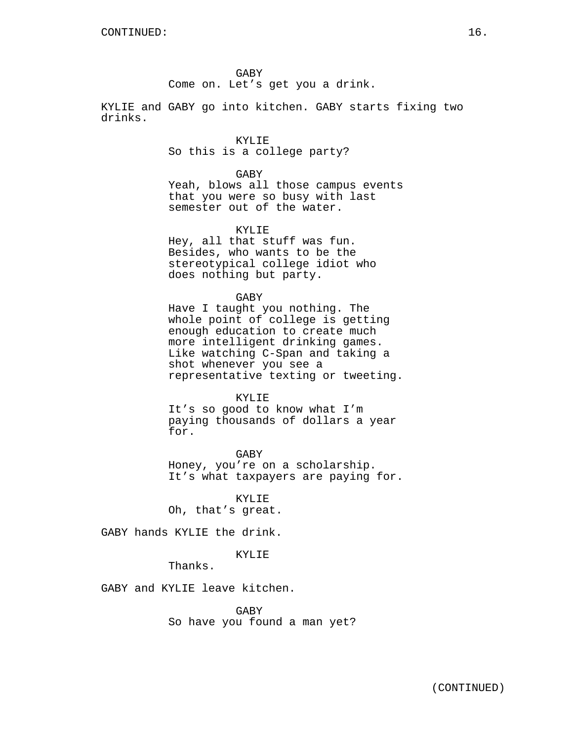GABY Come on. Let's get you a drink.

KYLIE and GABY go into kitchen. GABY starts fixing two drinks.

> KYLIE So this is a college party?

> > GABY

Yeah, blows all those campus events that you were so busy with last semester out of the water.

KYLIE

Hey, all that stuff was fun. Besides, who wants to be the stereotypical college idiot who does nothing but party.

GABY

Have I taught you nothing. The whole point of college is getting enough education to create much more intelligent drinking games. Like watching C-Span and taking a shot whenever you see a representative texting or tweeting.

KYLIE

It's so good to know what I'm paying thousands of dollars a year for.

GABY Honey, you're on a scholarship. It's what taxpayers are paying for.

KYLIE Oh, that's great.

GABY hands KYLIE the drink.

KYLIE

Thanks.

GABY and KYLIE leave kitchen.

GABY So have you found a man yet?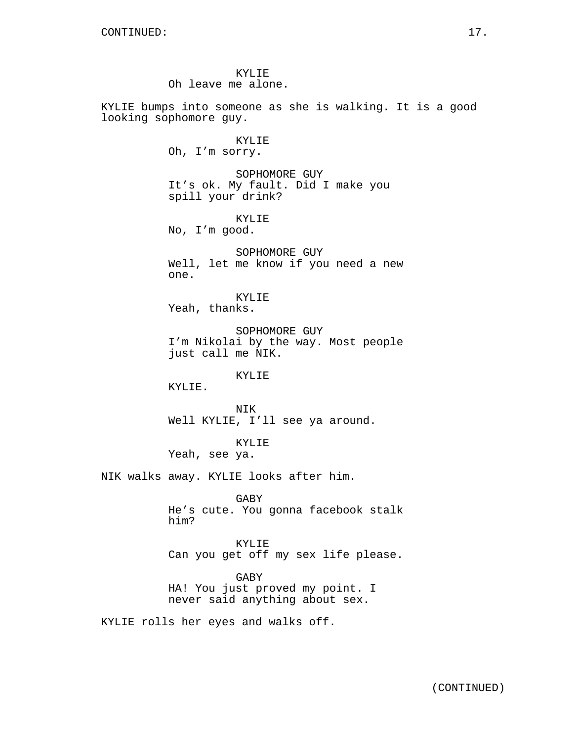KYLIE Oh leave me alone.

KYLIE bumps into someone as she is walking. It is a good looking sophomore guy.

> KYLIE Oh, I'm sorry.

SOPHOMORE GUY It's ok. My fault. Did I make you spill your drink?

KYLIE No, I'm good.

SOPHOMORE GUY Well, let me know if you need a new one.

KYLIE Yeah, thanks.

SOPHOMORE GUY I'm Nikolai by the way. Most people just call me NIK.

KYLIE

KYLIE.

**NTK** Well KYLIE, I'll see ya around.

KYLIE Yeah, see ya.

NIK walks away. KYLIE looks after him.

GABY He's cute. You gonna facebook stalk him?

KYLIE Can you get off my sex life please.

GABY HA! You just proved my point. I never said anything about sex.

KYLIE rolls her eyes and walks off.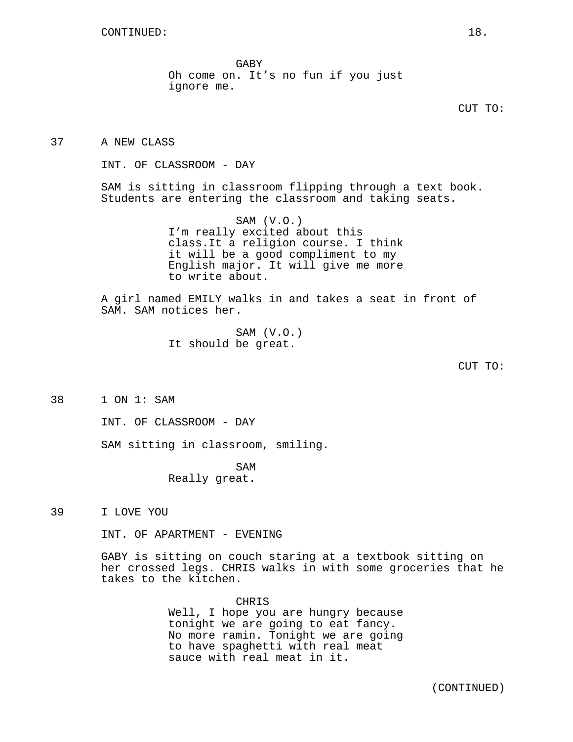GABY Oh come on. It's no fun if you just ignore me.

37 A NEW CLASS

INT. OF CLASSROOM - DAY

SAM is sitting in classroom flipping through a text book. Students are entering the classroom and taking seats.

> SAM (V.O.) I'm really excited about this class.It a religion course. I think it will be a good compliment to my English major. It will give me more to write about.

A girl named EMILY walks in and takes a seat in front of SAM. SAM notices her.

> SAM (V.O.) It should be great.

> > CUT TO:

38 1 ON 1: SAM

INT. OF CLASSROOM - DAY

SAM sitting in classroom, smiling.

SAM Really great.

39 I LOVE YOU

INT. OF APARTMENT - EVENING

GABY is sitting on couch staring at a textbook sitting on her crossed legs. CHRIS walks in with some groceries that he takes to the kitchen.

**CHRIS** 

Well, I hope you are hungry because tonight we are going to eat fancy. No more ramin. Tonight we are going to have spaghetti with real meat sauce with real meat in it.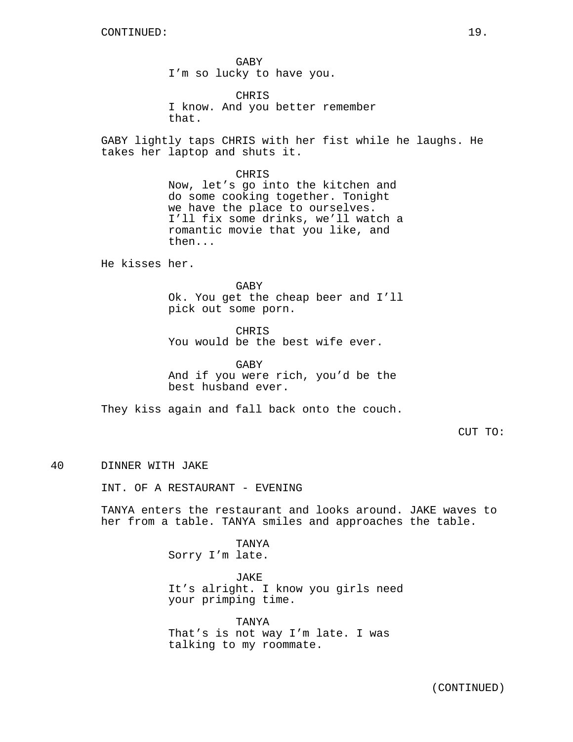GABY I'm so lucky to have you.

CHRIS I know. And you better remember that.

GABY lightly taps CHRIS with her fist while he laughs. He takes her laptop and shuts it.

> CHRIS Now, let's go into the kitchen and do some cooking together. Tonight we have the place to ourselves. I'll fix some drinks, we'll watch a romantic movie that you like, and then...

He kisses her.

GABY Ok. You get the cheap beer and I'll pick out some porn.

CHRIS You would be the best wife ever.

GABY And if you were rich, you'd be the best husband ever.

They kiss again and fall back onto the couch.

CUT TO:

### 40 DINNER WITH JAKE

INT. OF A RESTAURANT - EVENING

TANYA enters the restaurant and looks around. JAKE waves to her from a table. TANYA smiles and approaches the table.

> TANYA Sorry I'm late.

JAKE It's alright. I know you girls need your primping time.

TANYA That's is not way I'm late. I was talking to my roommate.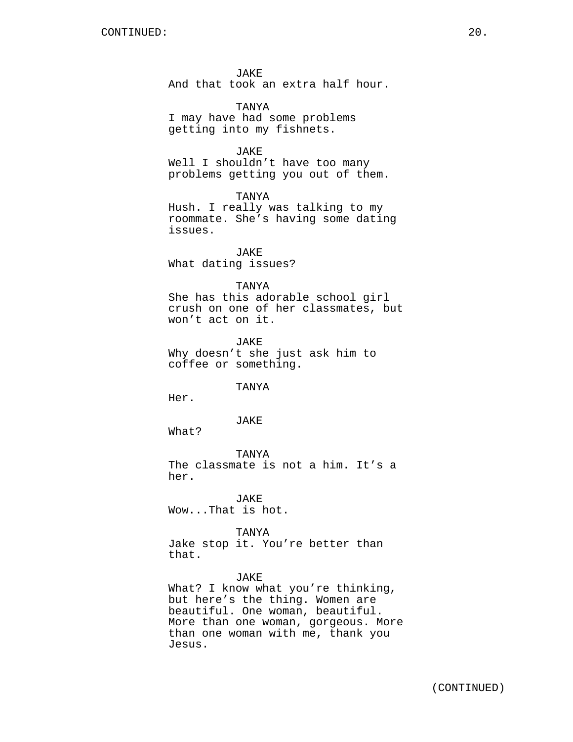JAKE And that took an extra half hour.

TANYA I may have had some problems getting into my fishnets.

JAKE Well I shouldn't have too many problems getting you out of them.

TANYA Hush. I really was talking to my roommate. She's having some dating issues.

JAKE What dating issues?

#### TANYA

She has this adorable school girl crush on one of her classmates, but won't act on it.

JAKE Why doesn't she just ask him to coffee or something.

TANYA

Her.

## JAKE

What?

TANYA The classmate is not a him. It's a her.

JAKE Wow...That is hot.

## TANYA

Jake stop it. You're better than that.

JAKE

What? I know what you're thinking, but here's the thing. Women are beautiful. One woman, beautiful. More than one woman, gorgeous. More than one woman with me, thank you Jesus.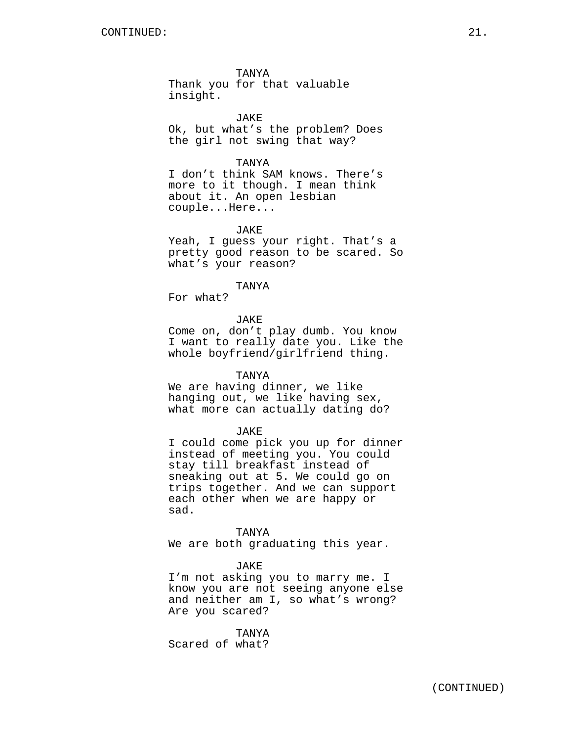TANYA Thank you for that valuable insight.

JAKE Ok, but what's the problem? Does the girl not swing that way?

TANYA

I don't think SAM knows. There's more to it though. I mean think about it. An open lesbian couple...Here...

### JAKE

Yeah, I guess your right. That's a pretty good reason to be scared. So what's your reason?

#### TANYA

For what?

## **JAKE**

Come on, don't play dumb. You know I want to really date you. Like the whole boyfriend/girlfriend thing.

## TANYA

We are having dinner, we like hanging out, we like having sex, what more can actually dating do?

#### JAKE

I could come pick you up for dinner instead of meeting you. You could stay till breakfast instead of sneaking out at 5. We could go on trips together. And we can support each other when we are happy or sad.

## TANYA

We are both graduating this year.

### JAKE

I'm not asking you to marry me. I know you are not seeing anyone else and neither am I, so what's wrong? Are you scared?

TANYA Scared of what?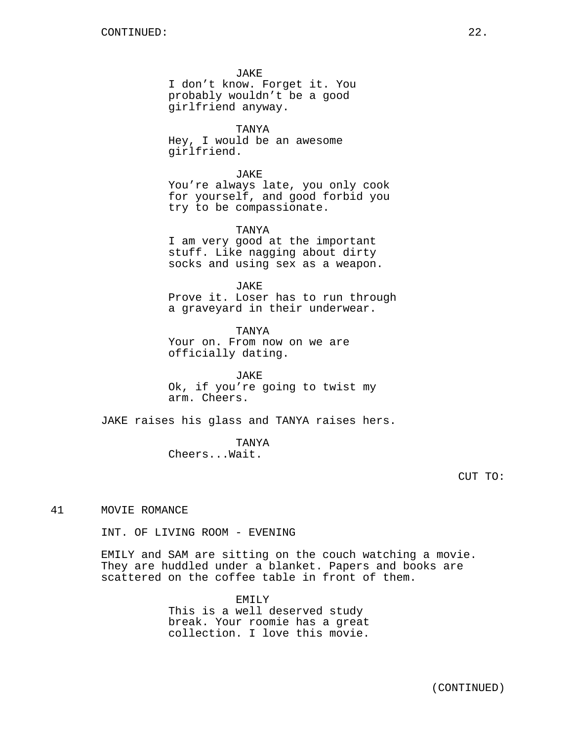JAKE

I don't know. Forget it. You probably wouldn't be a good girlfriend anyway.

TANYA Hey, I would be an awesome girlfriend.

JAKE You're always late, you only cook for yourself, and good forbid you try to be compassionate.

TANYA I am very good at the important stuff. Like nagging about dirty socks and using sex as a weapon.

JAKE Prove it. Loser has to run through a graveyard in their underwear.

TANYA Your on. From now on we are officially dating.

JAKE Ok, if you're going to twist my arm. Cheers.

JAKE raises his glass and TANYA raises hers.

TANYA Cheers...Wait.

41 MOVIE ROMANCE

INT. OF LIVING ROOM - EVENING

EMILY and SAM are sitting on the couch watching a movie. They are huddled under a blanket. Papers and books are scattered on the coffee table in front of them.

> EMILY This is a well deserved study break. Your roomie has a great collection. I love this movie.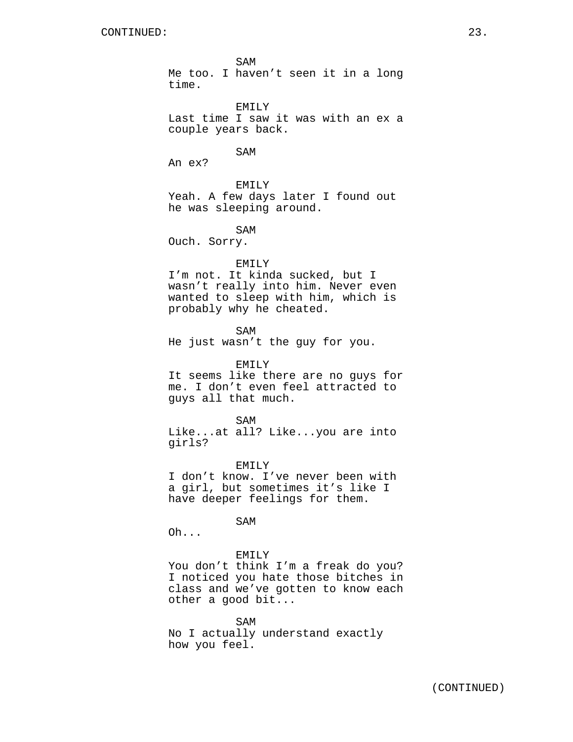SAM Me too. I haven't seen it in a long time.

EMILY

Last time I saw it was with an ex a couple years back.

SAM

An ex?

EMILY

Yeah. A few days later I found out he was sleeping around.

SAM

Ouch. Sorry.

#### EMILY

I'm not. It kinda sucked, but I wasn't really into him. Never even wanted to sleep with him, which is probably why he cheated.

SAM

guys all that much.

He just wasn't the guy for you.

EMILY It seems like there are no guys for me. I don't even feel attracted to

SAM Like...at all? Like...you are into girls?

EMILY I don't know. I've never been with a girl, but sometimes it's like I have deeper feelings for them.

SAM

Oh...

# EMILY

You don't think I'm a freak do you? I noticed you hate those bitches in class and we've gotten to know each other a good bit...

SAM No I actually understand exactly how you feel.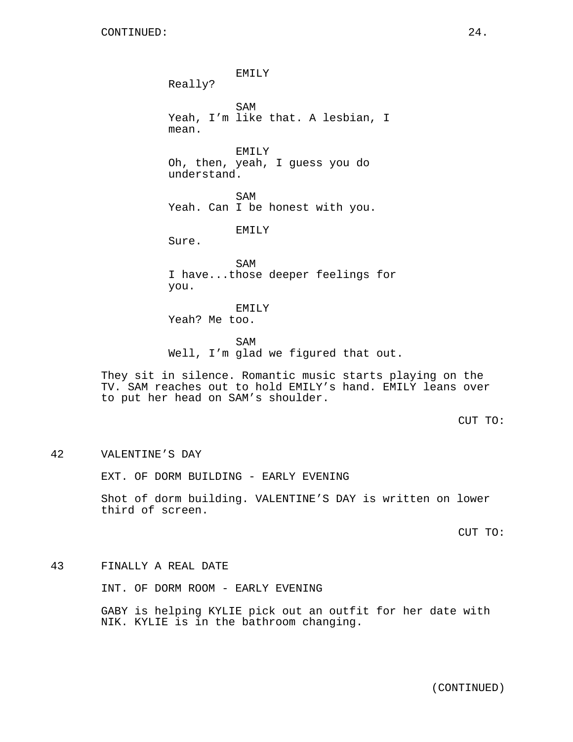EMILY Really? SAM Yeah, I'm like that. A lesbian, I mean. EMILY Oh, then, yeah, I guess you do understand. SAM Yeah. Can I be honest with you. EMILY Sure. SAM I have...those deeper feelings for you. EMILY Yeah? Me too. SAM Well, I'm glad we figured that out. They sit in silence. Romantic music starts playing on the TV. SAM reaches out to hold EMILY's hand. EMILY leans over to put her head on SAM's shoulder. CUT TO:

42 VALENTINE'S DAY

EXT. OF DORM BUILDING - EARLY EVENING

Shot of dorm building. VALENTINE'S DAY is written on lower third of screen.

CUT TO:

43 FINALLY A REAL DATE

INT. OF DORM ROOM - EARLY EVENING

GABY is helping KYLIE pick out an outfit for her date with NIK. KYLIE is in the bathroom changing.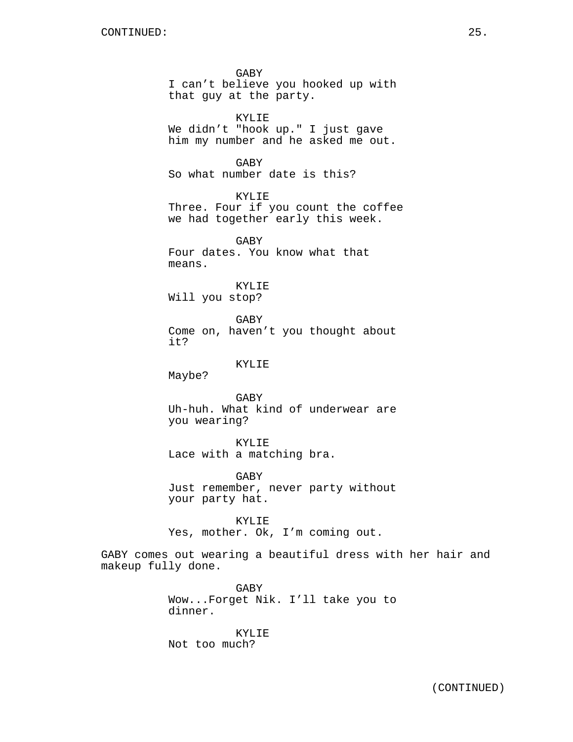GABY I can't believe you hooked up with that guy at the party.

KYLIE We didn't "hook up." I just gave him my number and he asked me out.

GABY So what number date is this?

KYLIE Three. Four if you count the coffee we had together early this week.

GABY Four dates. You know what that means.

KYLIE Will you stop?

GABY Come on, haven't you thought about it?

#### KYLIE

Maybe?

GABY Uh-huh. What kind of underwear are you wearing?

KYLIE

Lace with a matching bra.

GABY Just remember, never party without your party hat.

KYLIE Yes, mother. Ok, I'm coming out.

GABY comes out wearing a beautiful dress with her hair and makeup fully done.

> GABY Wow...Forget Nik. I'll take you to dinner.

KYLIE Not too much?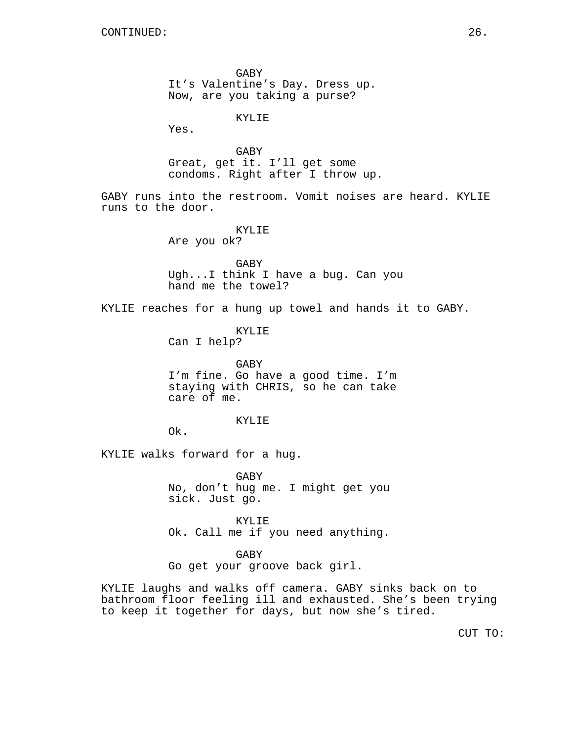GABY It's Valentine's Day. Dress up. Now, are you taking a purse?

KYLIE

Yes.

GABY Great, get it. I'll get some condoms. Right after I throw up.

GABY runs into the restroom. Vomit noises are heard. KYLIE runs to the door.

> KYLIE Are you ok?

GABY

Ugh...I think I have a bug. Can you hand me the towel?

KYLIE reaches for a hung up towel and hands it to GABY.

KYLIE

Can I help?

GABY I'm fine. Go have a good time. I'm staying with CHRIS, so he can take care of me.

### KYLIE

Ok.

KYLIE walks forward for a hug.

GABY No, don't hug me. I might get you sick. Just go.

KYLIE Ok. Call me if you need anything.

GABY

Go get your groove back girl.

KYLIE laughs and walks off camera. GABY sinks back on to bathroom floor feeling ill and exhausted. She's been trying to keep it together for days, but now she's tired.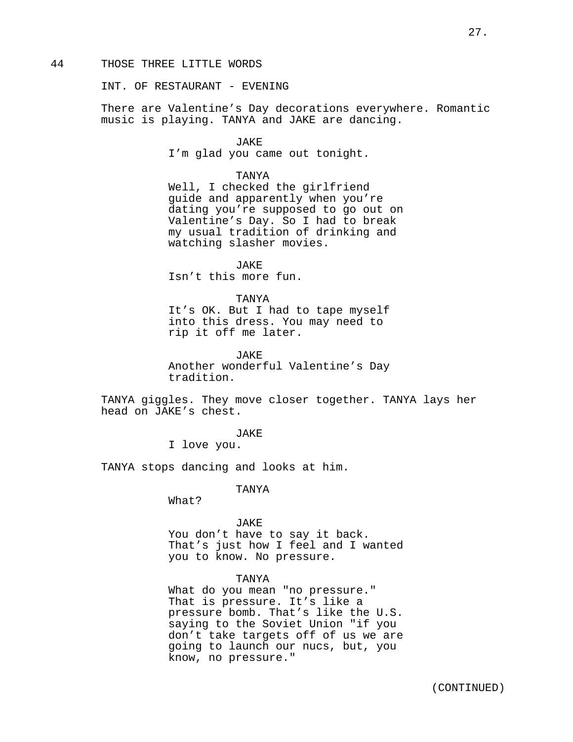### 44 THOSE THREE LITTLE WORDS

INT. OF RESTAURANT - EVENING

There are Valentine's Day decorations everywhere. Romantic music is playing. TANYA and JAKE are dancing.

### JAKE

I'm glad you came out tonight.

## TANYA

Well, I checked the girlfriend guide and apparently when you're dating you're supposed to go out on Valentine's Day. So I had to break my usual tradition of drinking and watching slasher movies.

JAKE Isn't this more fun.

## TANYA

It's OK. But I had to tape myself into this dress. You may need to rip it off me later.

JAKE

Another wonderful Valentine's Day tradition.

TANYA giggles. They move closer together. TANYA lays her head on JAKE's chest.

# JAKE

I love you.

TANYA stops dancing and looks at him.

## TANYA

What?

JAKE You don't have to say it back. That's just how I feel and I wanted you to know. No pressure.

## TANYA

What do you mean "no pressure." That is pressure. It's like a pressure bomb. That's like the U.S. saying to the Soviet Union "if you don't take targets off of us we are going to launch our nucs, but, you know, no pressure."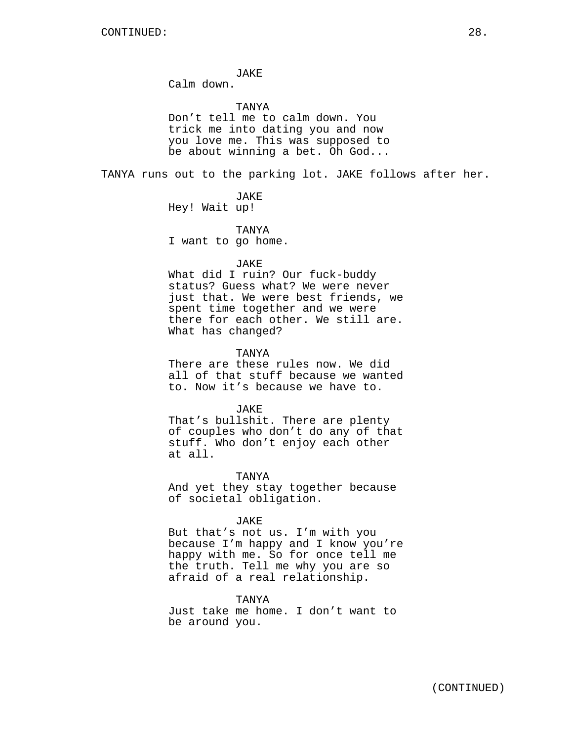JAKE

Calm down.

## TANYA

Don't tell me to calm down. You trick me into dating you and now you love me. This was supposed to be about winning a bet. Oh God...

TANYA runs out to the parking lot. JAKE follows after her.

JAKE

Hey! Wait up!

TANYA

I want to go home.

#### JAKE

What did I ruin? Our fuck-buddy status? Guess what? We were never just that. We were best friends, we spent time together and we were there for each other. We still are. What has changed?

## TANYA

There are these rules now. We did all of that stuff because we wanted to. Now it's because we have to.

JAKE

That's bullshit. There are plenty of couples who don't do any of that stuff. Who don't enjoy each other at all.

TANYA

And yet they stay together because of societal obligation.

#### JAKE

But that's not us. I'm with you because I'm happy and I know you're happy with me. So for once tell me the truth. Tell me why you are so afraid of a real relationship.

## TANYA

Just take me home. I don't want to be around you.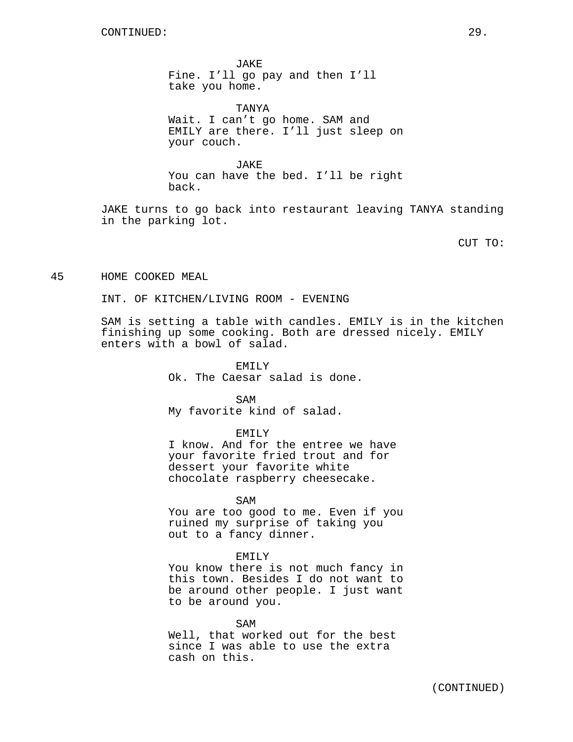JAKE Fine. I'll go pay and then I'll take you home.

TANYA

Wait. I can't go home. SAM and EMILY are there. I'll just sleep on your couch.

JAKE You can have the bed. I'll be right back.

JAKE turns to go back into restaurant leaving TANYA standing in the parking lot.

CUT TO:

45 HOME COOKED MEAL

INT. OF KITCHEN/LIVING ROOM - EVENING

SAM is setting a table with candles. EMILY is in the kitchen finishing up some cooking. Both are dressed nicely. EMILY enters with a bowl of salad.

> EMILY Ok. The Caesar salad is done.

> > SAM

My favorite kind of salad.

EMILY

I know. And for the entree we have your favorite fried trout and for dessert your favorite white chocolate raspberry cheesecake.

SAM You are too good to me. Even if you ruined my surprise of taking you out to a fancy dinner.

#### EMILY

You know there is not much fancy in this town. Besides I do not want to be around other people. I just want to be around you.

SAM Well, that worked out for the best since I was able to use the extra cash on this.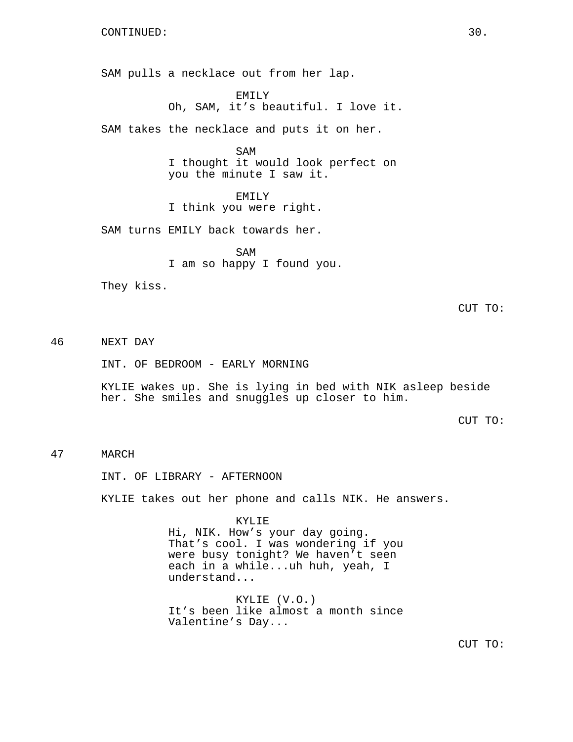SAM pulls a necklace out from her lap.

EMILY Oh, SAM, it's beautiful. I love it.

SAM takes the necklace and puts it on her.

SAM I thought it would look perfect on you the minute I saw it.

EMILY I think you were right.

SAM turns EMILY back towards her.

SAM I am so happy I found you.

They kiss.

CUT TO:

46 NEXT DAY

INT. OF BEDROOM - EARLY MORNING

KYLIE wakes up. She is lying in bed with NIK asleep beside her. She smiles and snuggles up closer to him.

CUT TO:

# 47 MARCH

INT. OF LIBRARY - AFTERNOON

KYLIE takes out her phone and calls NIK. He answers.

KYLIE

Hi, NIK. How's your day going. That's cool. I was wondering if you were busy tonight? We haven't seen each in a while...uh huh, yeah, I understand...

KYLIE (V.O.) It's been like almost a month since Valentine's Day...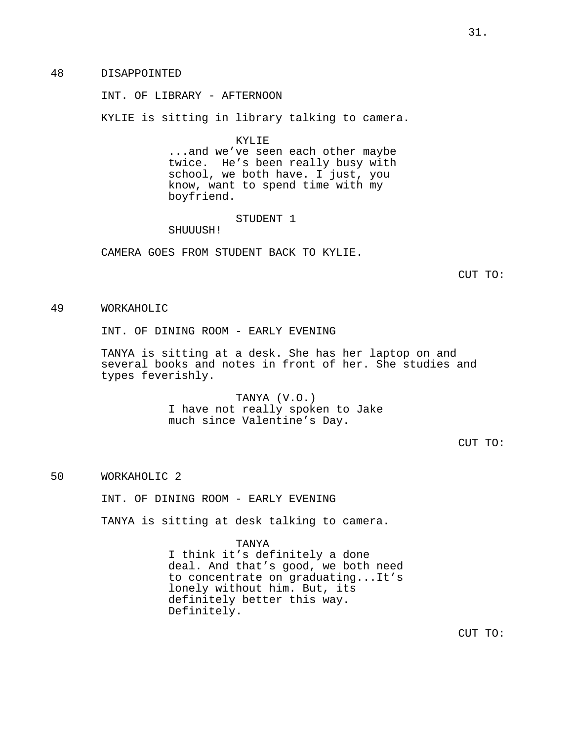48 DISAPPOINTED

INT. OF LIBRARY - AFTERNOON

KYLIE is sitting in library talking to camera.

KYLIE

...and we've seen each other maybe twice. He's been really busy with school, we both have. I just, you know, want to spend time with my boyfriend.

STUDENT 1

SHUUUSH!

CAMERA GOES FROM STUDENT BACK TO KYLIE.

CUT TO:

49 WORKAHOLIC

INT. OF DINING ROOM - EARLY EVENING

TANYA is sitting at a desk. She has her laptop on and several books and notes in front of her. She studies and types feverishly.

> TANYA (V.O.) I have not really spoken to Jake much since Valentine's Day.

> > CUT TO:

50 WORKAHOLIC 2

INT. OF DINING ROOM - EARLY EVENING

TANYA is sitting at desk talking to camera.

TANYA I think it's definitely a done deal. And that's good, we both need to concentrate on graduating...It's lonely without him. But, its definitely better this way. Definitely.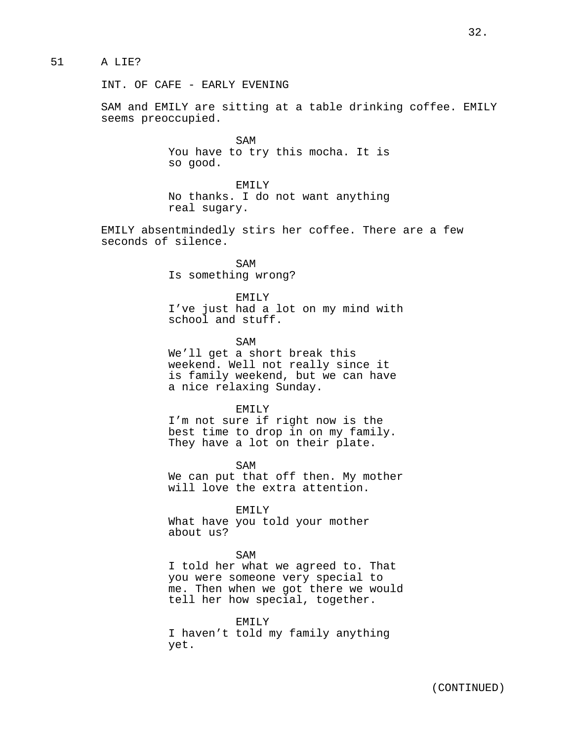# 51 A LIE?

INT. OF CAFE - EARLY EVENING

SAM and EMILY are sitting at a table drinking coffee. EMILY seems preoccupied.

> SAM You have to try this mocha. It is so good.

> EMILY No thanks. I do not want anything real sugary.

EMILY absentmindedly stirs her coffee. There are a few seconds of silence.

> SAM Is something wrong?

EMILY I've just had a lot on my mind with school and stuff.

SAM We'll get a short break this weekend. Well not really since it is family weekend, but we can have a nice relaxing Sunday.

EMILY I'm not sure if right now is the best time to drop in on my family. They have a lot on their plate.

SAM We can put that off then. My mother will love the extra attention.

EMILY What have you told your mother about us?

#### SAM

I told her what we agreed to. That you were someone very special to me. Then when we got there we would tell her how special, together.

EMILY I haven't told my family anything yet.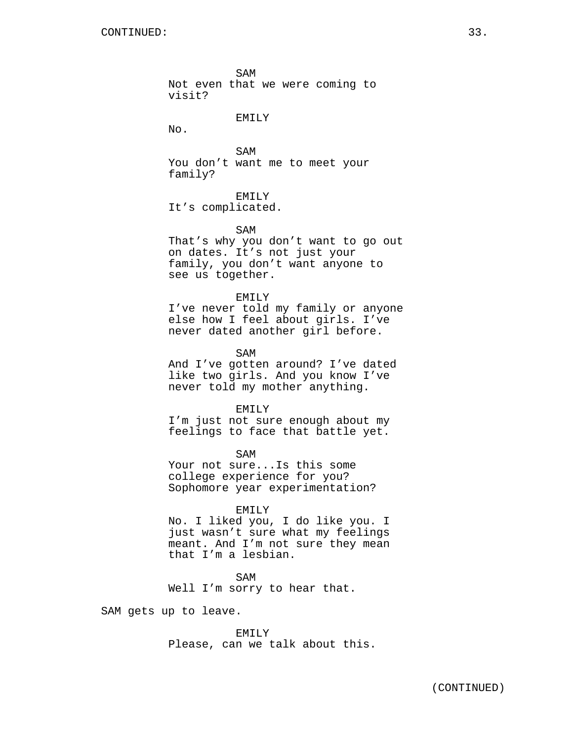SAM Not even that we were coming to visit?

## EMILY

No.

SAM You don't want me to meet your family?

EMILY

It's complicated.

SAM

That's why you don't want to go out on dates. It's not just your family, you don't want anyone to see us together.

EMILY

I've never told my family or anyone else how I feel about girls. I've never dated another girl before.

SAM

And I've gotten around? I've dated like two girls. And you know I've never told my mother anything.

EMILY

I'm just not sure enough about my feelings to face that battle yet.

SAM Your not sure...Is this some college experience for you? Sophomore year experimentation?

#### EMILY

No. I liked you, I do like you. I just wasn't sure what my feelings meant. And I'm not sure they mean that I'm a lesbian.

SAM Well I'm sorry to hear that.

SAM gets up to leave.

EMILY Please, can we talk about this.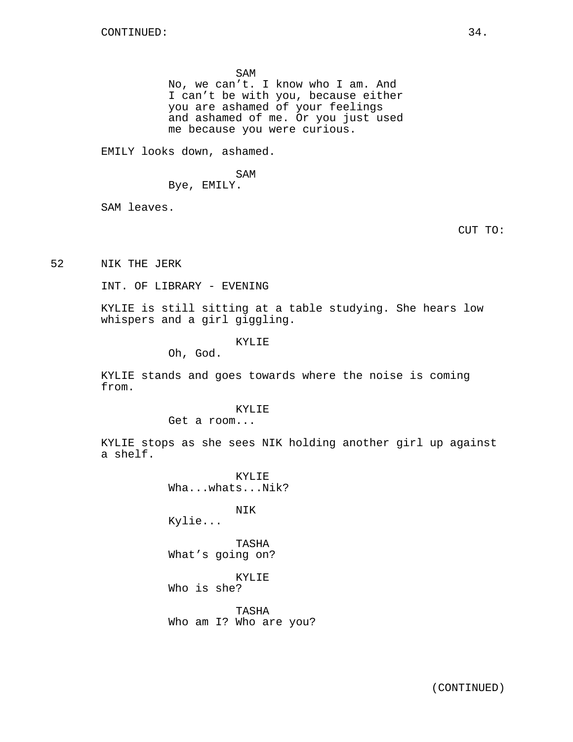SAM

No, we can't. I know who I am. And I can't be with you, because either you are ashamed of your feelings and ashamed of me. Or you just used me because you were curious.

EMILY looks down, ashamed.

SAM

Bye, EMILY.

SAM leaves.

CUT TO:

52 NIK THE JERK

INT. OF LIBRARY - EVENING

KYLIE is still sitting at a table studying. She hears low whispers and a girl giggling.

KYLIE

Oh, God.

KYLIE stands and goes towards where the noise is coming from.

# KYLIE

Get a room...

KYLIE stops as she sees NIK holding another girl up against a shelf.

> KYLIE Wha...whats...Nik? NIK Kylie... TASHA What's going on? KYLIE Who is she? TASHA Who am I? Who are you?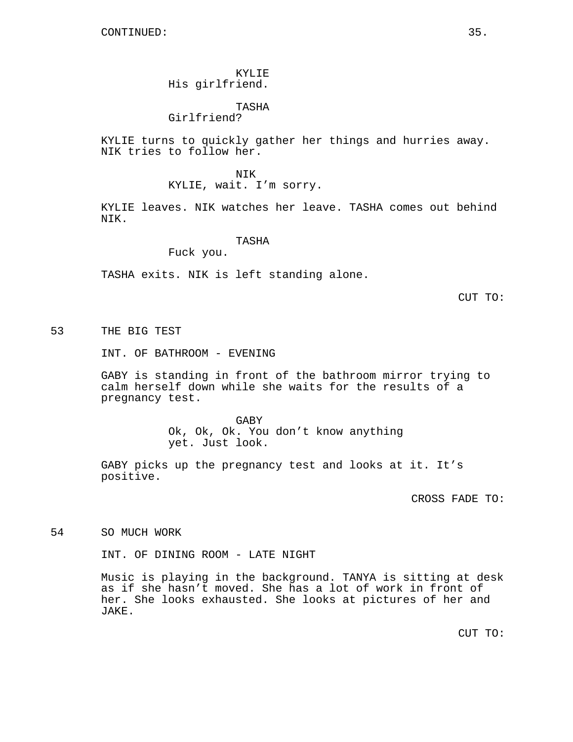# KYLIE His girlfriend.

# TASHA

Girlfriend?

KYLIE turns to quickly gather her things and hurries away. NIK tries to follow her.

> NIK KYLIE, wait. I'm sorry.

KYLIE leaves. NIK watches her leave. TASHA comes out behind NIK.

## TASHA

Fuck you.

TASHA exits. NIK is left standing alone.

CUT TO:

53 THE BIG TEST

INT. OF BATHROOM - EVENING

GABY is standing in front of the bathroom mirror trying to calm herself down while she waits for the results of a pregnancy test.

> GABY Ok, Ok, Ok. You don't know anything yet. Just look.

GABY picks up the pregnancy test and looks at it. It's positive.

CROSS FADE TO:

54 SO MUCH WORK

INT. OF DINING ROOM - LATE NIGHT

Music is playing in the background. TANYA is sitting at desk as if she hasn't moved. She has a lot of work in front of her. She looks exhausted. She looks at pictures of her and JAKE.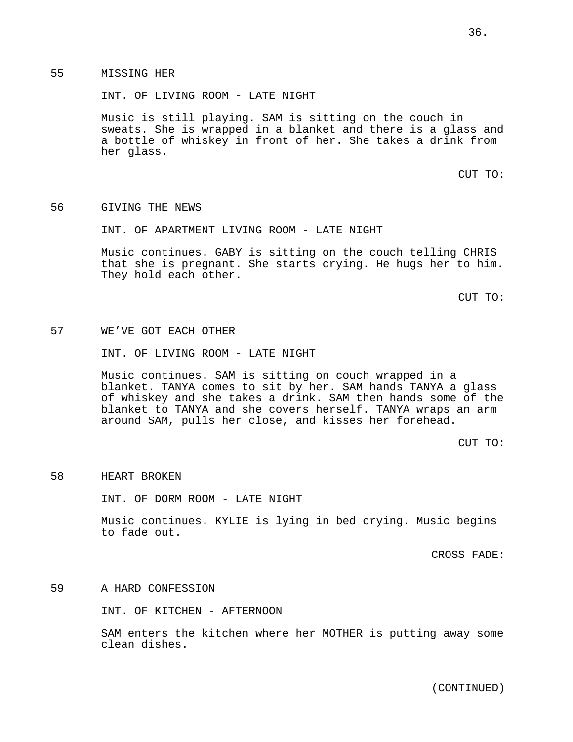INT. OF LIVING ROOM - LATE NIGHT

Music is still playing. SAM is sitting on the couch in sweats. She is wrapped in a blanket and there is a glass and a bottle of whiskey in front of her. She takes a drink from her glass.

CUT TO:

56 GIVING THE NEWS

INT. OF APARTMENT LIVING ROOM - LATE NIGHT

Music continues. GABY is sitting on the couch telling CHRIS that she is pregnant. She starts crying. He hugs her to him. They hold each other.

CUT TO:

# 57 WE'VE GOT EACH OTHER

INT. OF LIVING ROOM - LATE NIGHT

Music continues. SAM is sitting on couch wrapped in a blanket. TANYA comes to sit by her. SAM hands TANYA a glass of whiskey and she takes a drink. SAM then hands some of the blanket to TANYA and she covers herself. TANYA wraps an arm around SAM, pulls her close, and kisses her forehead.

CUT TO:

### 58 HEART BROKEN

INT. OF DORM ROOM - LATE NIGHT

Music continues. KYLIE is lying in bed crying. Music begins to fade out.

CROSS FADE:

59 A HARD CONFESSION

INT. OF KITCHEN - AFTERNOON

SAM enters the kitchen where her MOTHER is putting away some clean dishes.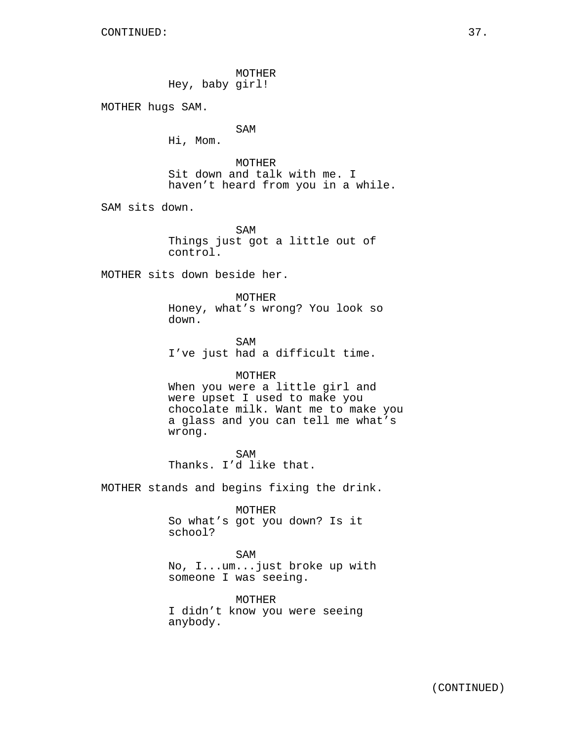MOTHER Hey, baby girl!

MOTHER hugs SAM.

SAM

Hi, Mom.

MOTHER Sit down and talk with me. I haven't heard from you in a while.

SAM sits down.

SAM Things just got a little out of control.

MOTHER sits down beside her.

MOTHER Honey, what's wrong? You look so down.

SAM I've just had a difficult time.

### MOTHER

When you were a little girl and were upset I used to make you chocolate milk. Want me to make you a glass and you can tell me what's wrong.

SAM Thanks. I'd like that.

MOTHER stands and begins fixing the drink.

MOTHER

So what's got you down? Is it school?

## SAM

No, I...um...just broke up with someone I was seeing.

MOTHER I didn't know you were seeing anybody.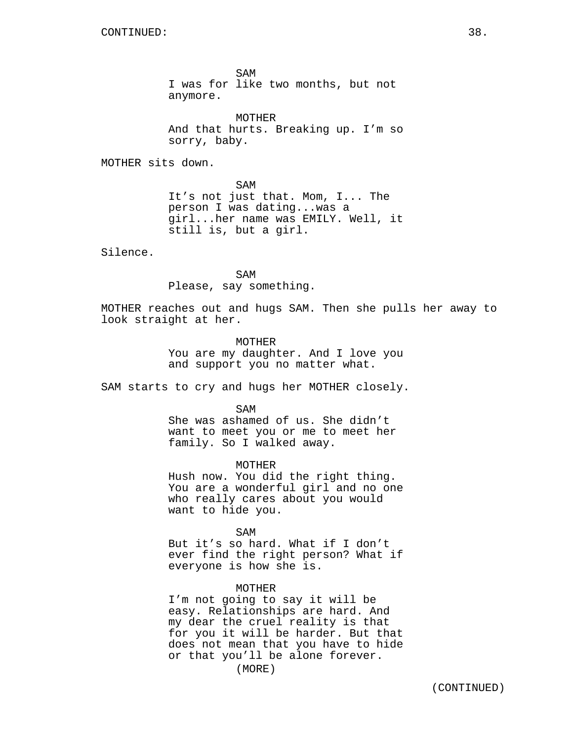SAM I was for like two months, but not anymore.

MOTHER And that hurts. Breaking up. I'm so sorry, baby.

MOTHER sits down.

SAM It's not just that. Mom, I... The person I was dating...was a girl...her name was EMILY. Well, it still is, but a girl.

Silence.

SAM Please, say something.

MOTHER reaches out and hugs SAM. Then she pulls her away to look straight at her.

> **MOTHER** You are my daughter. And I love you and support you no matter what.

SAM starts to cry and hugs her MOTHER closely.

 $SAM$ 

She was ashamed of us. She didn't want to meet you or me to meet her family. So I walked away.

MOTHER

Hush now. You did the right thing. You are a wonderful girl and no one who really cares about you would want to hide you.

SAM

But it's so hard. What if I don't ever find the right person? What if everyone is how she is.

MOTHER

I'm not going to say it will be easy. Relationships are hard. And my dear the cruel reality is that for you it will be harder. But that does not mean that you have to hide or that you'll be alone forever.

(MORE)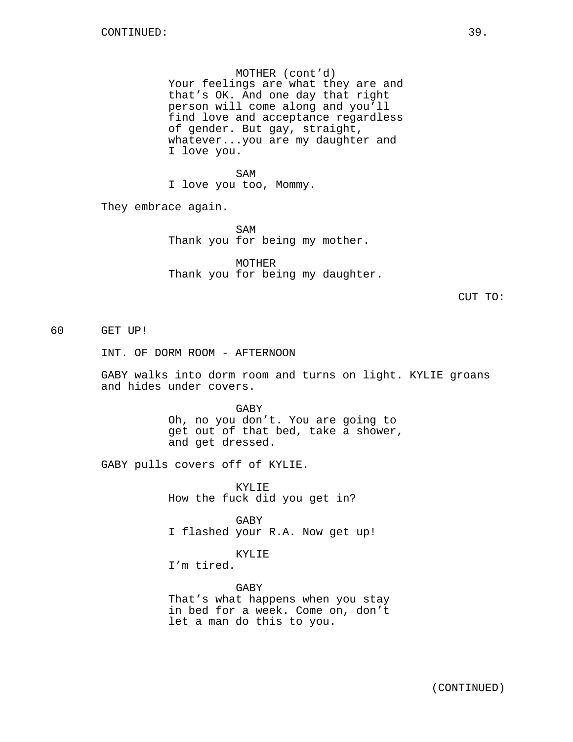### MOTHER (cont'd)

Your feelings are what they are and that's OK. And one day that right person will come along and you'll find love and acceptance regardless of gender. But gay, straight, whatever...you are my daughter and I love you.

SAM I love you too, Mommy.

They embrace again.

SAM Thank you for being my mother.

MOTHER Thank you for being my daughter.

CUT TO:

60 GET UP!

INT. OF DORM ROOM - AFTERNOON

GABY walks into dorm room and turns on light. KYLIE groans and hides under covers.

> GABY Oh, no you don't. You are going to get out of that bed, take a shower, and get dressed.

GABY pulls covers off of KYLIE.

KYLIE How the fuck did you get in?

GABY I flashed your R.A. Now get up!

KYLIE

I'm tired.

GABY That's what happens when you stay in bed for a week. Come on, don't let a man do this to you.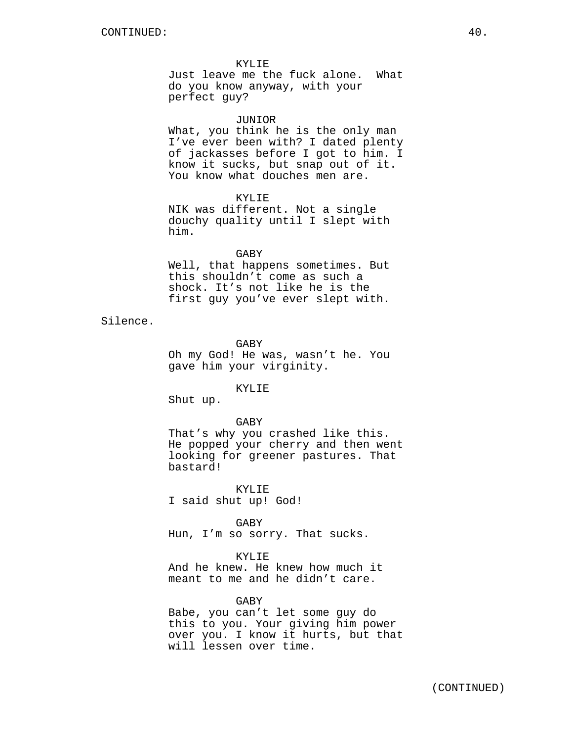#### KYLIE

Just leave me the fuck alone. What do you know anyway, with your perfect guy?

#### JUNIOR

What, you think he is the only man I've ever been with? I dated plenty of jackasses before I got to him. I know it sucks, but snap out of it. You know what douches men are.

## KYLIE.

NIK was different. Not a single douchy quality until I slept with him.

#### GABY

Well, that happens sometimes. But this shouldn't come as such a shock. It's not like he is the first guy you've ever slept with.

Silence.

GABY

Oh my God! He was, wasn't he. You gave him your virginity.

#### KYLIE

Shut up.

GABY

That's why you crashed like this. He popped your cherry and then went looking for greener pastures. That bastard!

KYLIE I said shut up! God!

GABY

Hun, I'm so sorry. That sucks.

# KYLIE

And he knew. He knew how much it meant to me and he didn't care.

## GABY

Babe, you can't let some guy do this to you. Your giving him power over you. I know it hurts, but that will lessen over time.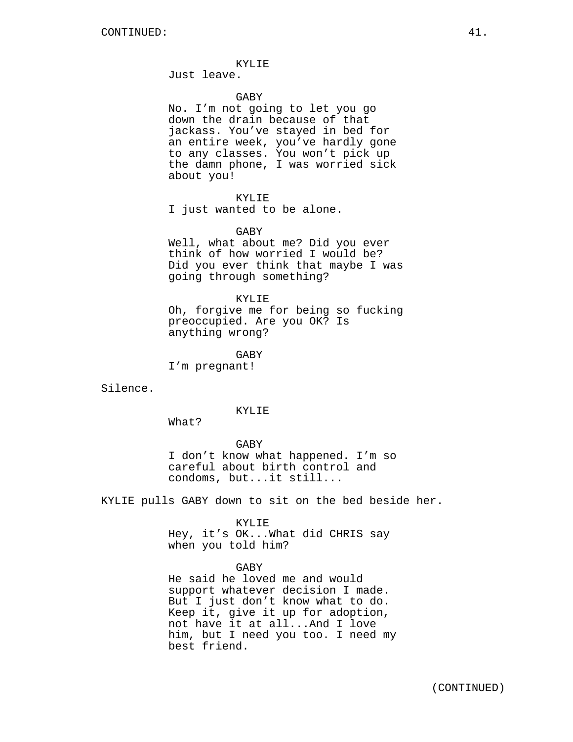#### KYLIE

Just leave.

## GABY

No. I'm not going to let you go down the drain because of that jackass. You've stayed in bed for an entire week, you've hardly gone to any classes. You won't pick up the damn phone, I was worried sick about you!

#### KYLIE

I just wanted to be alone.

### GABY

Well, what about me? Did you ever think of how worried I would be? Did you ever think that maybe I was going through something?

#### KYLIE

Oh, forgive me for being so fucking preoccupied. Are you OK? Is anything wrong?

GABY

I'm pregnant!

Silence.

## KYLIE

What?

GABY

I don't know what happened. I'm so careful about birth control and condoms, but...it still...

KYLIE pulls GABY down to sit on the bed beside her.

#### KYLIE

Hey, it's OK...What did CHRIS say when you told him?

GABY

He said he loved me and would support whatever decision I made. But I just don't know what to do. Keep it, give it up for adoption, not have it at all...And I love him, but I need you too. I need my best friend.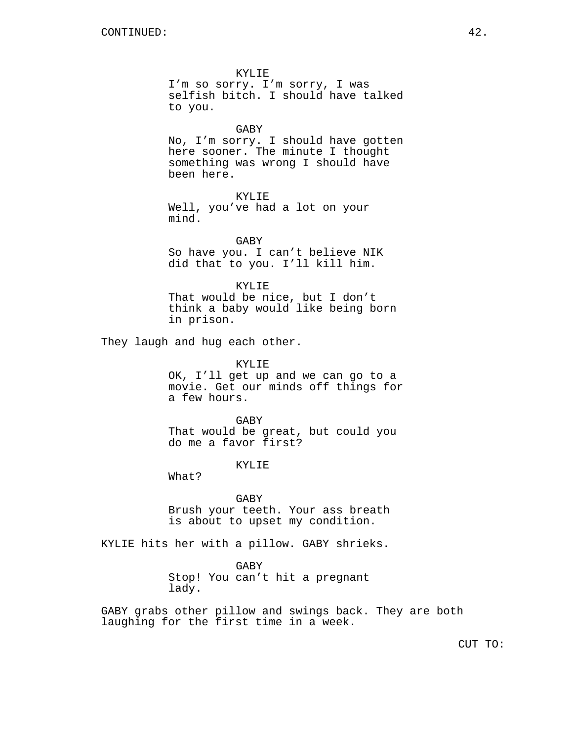KYLIE

I'm so sorry. I'm sorry, I was selfish bitch. I should have talked to you.

## GABY

No, I'm sorry. I should have gotten here sooner. The minute I thought something was wrong I should have been here.

```
KYLIE
```
Well, you've had a lot on your mind.

GABY So have you. I can't believe NIK did that to you. I'll kill him.

KYLIE

That would be nice, but I don't think a baby would like being born in prison.

They laugh and hug each other.

KYLIE OK, I'll get up and we can go to a movie. Get our minds off things for a few hours.

GABY That would be great, but could you do me a favor first?

KYLIE

What?

GABY Brush your teeth. Your ass breath is about to upset my condition.

KYLIE hits her with a pillow. GABY shrieks.

GABY Stop! You can't hit a pregnant lady.

GABY grabs other pillow and swings back. They are both laughing for the first time in a week.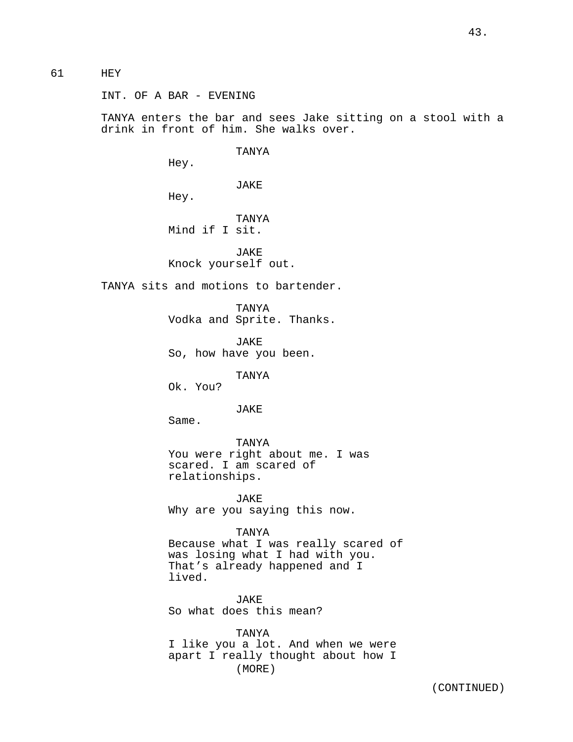# 61 HEY

INT. OF A BAR - EVENING

TANYA enters the bar and sees Jake sitting on a stool with a drink in front of him. She walks over.

TANYA

Hey.

JAKE

Hey.

TANYA Mind if I sit.

JAKE Knock yourself out.

TANYA sits and motions to bartender.

TANYA Vodka and Sprite. Thanks.

JAKE So, how have you been.

TANYA

Ok. You?

JAKE

Same.

TANYA You were right about me. I was scared. I am scared of relationships.

JAKE Why are you saying this now.

TANYA

Because what I was really scared of was losing what I had with you. That's already happened and I lived.

JAKE So what does this mean?

TANYA I like you a lot. And when we were apart I really thought about how I (MORE)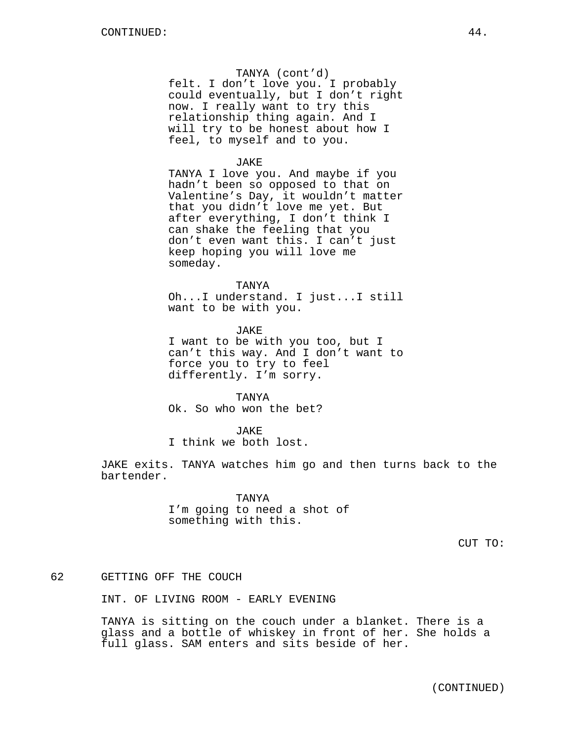### TANYA (cont'd)

felt. I don't love you. I probably could eventually, but I don't right now. I really want to try this relationship thing again. And I will try to be honest about how I feel, to myself and to you.

#### JAKE

TANYA I love you. And maybe if you hadn't been so opposed to that on Valentine's Day, it wouldn't matter that you didn't love me yet. But after everything, I don't think I can shake the feeling that you don't even want this. I can't just keep hoping you will love me someday.

## TANYA

Oh...I understand. I just...I still want to be with you.

JAKE I want to be with you too, but I can't this way. And I don't want to force you to try to feel differently. I'm sorry.

#### TANYA

Ok. So who won the bet?

#### JAKE

I think we both lost.

JAKE exits. TANYA watches him go and then turns back to the bartender.

> TANYA I'm going to need a shot of something with this.

# 62 GETTING OFF THE COUCH

INT. OF LIVING ROOM - EARLY EVENING

TANYA is sitting on the couch under a blanket. There is a glass and a bottle of whiskey in front of her. She holds a full glass. SAM enters and sits beside of her.

(CONTINUED)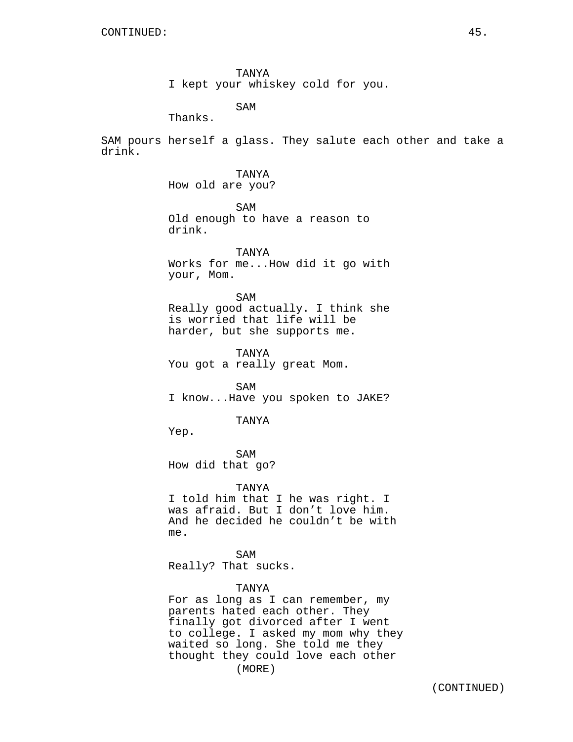TANYA I kept your whiskey cold for you.

SAM Thanks.

SAM pours herself a glass. They salute each other and take a drink.

> TANYA How old are you?

SAM Old enough to have a reason to drink.

TANYA Works for me...How did it go with your, Mom.

SAM Really good actually. I think she is worried that life will be harder, but she supports me.

TANYA You got a really great Mom.

SAM I know...Have you spoken to JAKE?

#### TANYA

Yep.

SAM How did that go?

TANYA

I told him that I he was right. I was afraid. But I don't love him. And he decided he couldn't be with me.

SAM Really? That sucks.

## TANYA

For as long as I can remember, my parents hated each other. They finally got divorced after I went to college. I asked my mom why they waited so long. She told me they thought they could love each other (MORE)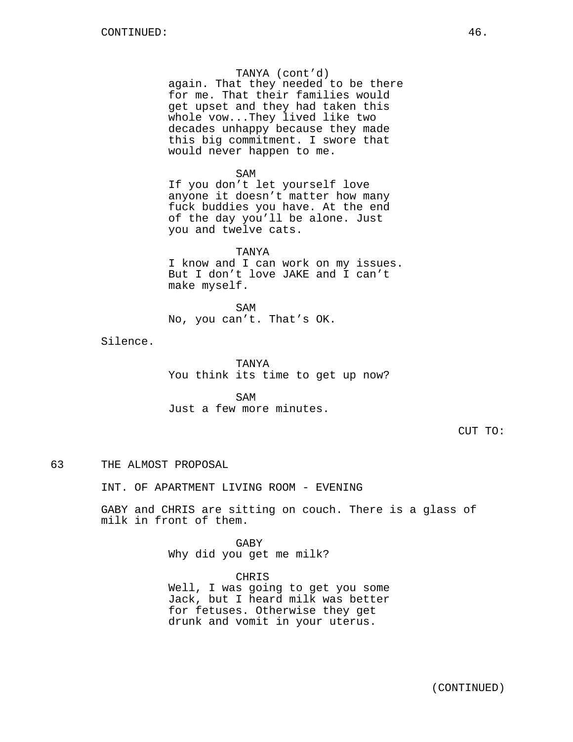### TANYA (cont'd)

again. That they needed to be there for me. That their families would get upset and they had taken this whole vow...They lived like two decades unhappy because they made this big commitment. I swore that would never happen to me.

#### SAM

If you don't let yourself love anyone it doesn't matter how many fuck buddies you have. At the end of the day you'll be alone. Just you and twelve cats.

#### TANYA

I know and I can work on my issues. But I don't love JAKE and I can't make myself.

SAM No, you can't. That's OK.

Silence.

TANYA You think its time to get up now?

SAM Just a few more minutes.

CUT TO:

# 63 THE ALMOST PROPOSAL

INT. OF APARTMENT LIVING ROOM - EVENING

GABY and CHRIS are sitting on couch. There is a glass of milk in front of them.

> GABY Why did you get me milk?

CHRIS Well, I was going to get you some Jack, but I heard milk was better for fetuses. Otherwise they get drunk and vomit in your uterus.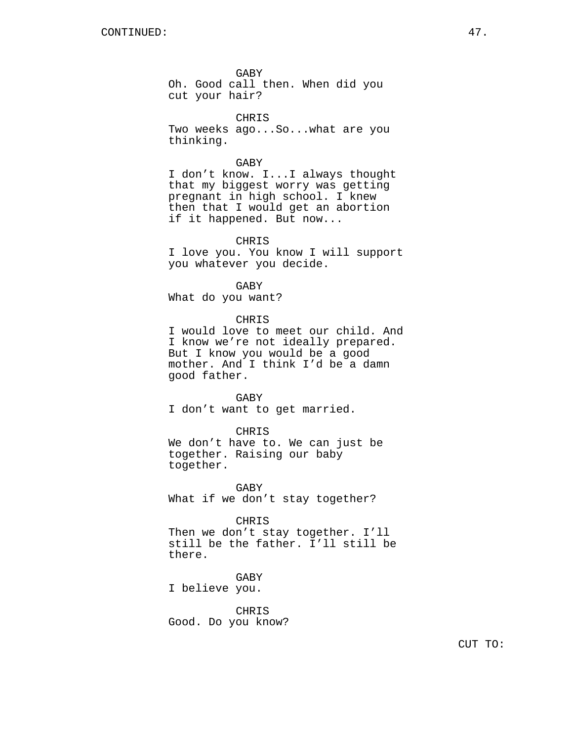GABY Oh. Good call then. When did you cut your hair?

CHRIS Two weeks ago...So...what are you thinking.

#### GABY

I don't know. I...I always thought that my biggest worry was getting pregnant in high school. I knew then that I would get an abortion if it happened. But now...

## CHRIS

I love you. You know I will support you whatever you decide.

GABY

What do you want?

CHRIS

I would love to meet our child. And I know we're not ideally prepared. But I know you would be a good mother. And I think I'd be a damn good father.

GABY I don't want to get married.

## CHRIS

We don't have to. We can just be together. Raising our baby together.

GABY What if we don't stay together?

CHRIS

Then we don't stay together. I'll still be the father. I'll still be there.

GABY I believe you.

CHRIS Good. Do you know?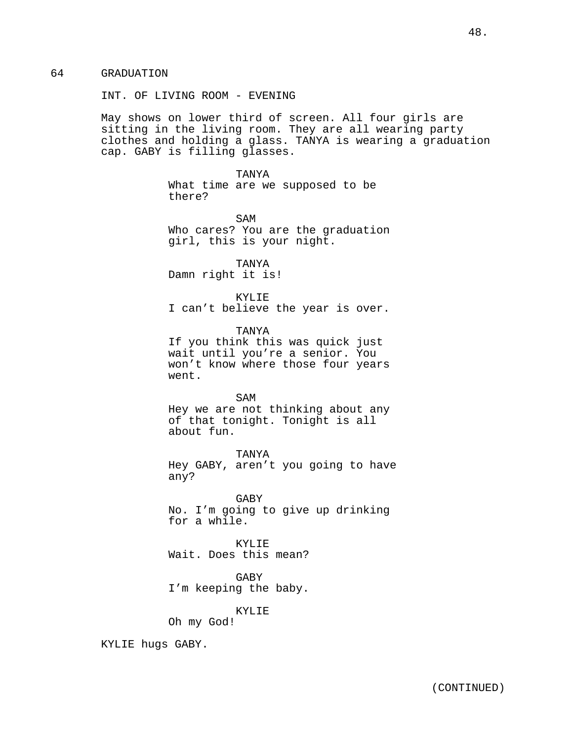64 GRADUATION

INT. OF LIVING ROOM - EVENING

May shows on lower third of screen. All four girls are sitting in the living room. They are all wearing party clothes and holding a glass. TANYA is wearing a graduation cap. GABY is filling glasses.

> TANYA What time are we supposed to be there?

SAM Who cares? You are the graduation girl, this is your night.

TANYA Damn right it is!

KYLIE I can't believe the year is over.

TANYA If you think this was quick just wait until you're a senior. You won't know where those four years went.

SAM Hey we are not thinking about any of that tonight. Tonight is all about fun.

TANYA Hey GABY, aren't you going to have any?

GABY No. I'm going to give up drinking for a while.

KYLIE Wait. Does this mean?

GABY I'm keeping the baby.

KYLIE

Oh my God!

KYLIE hugs GABY.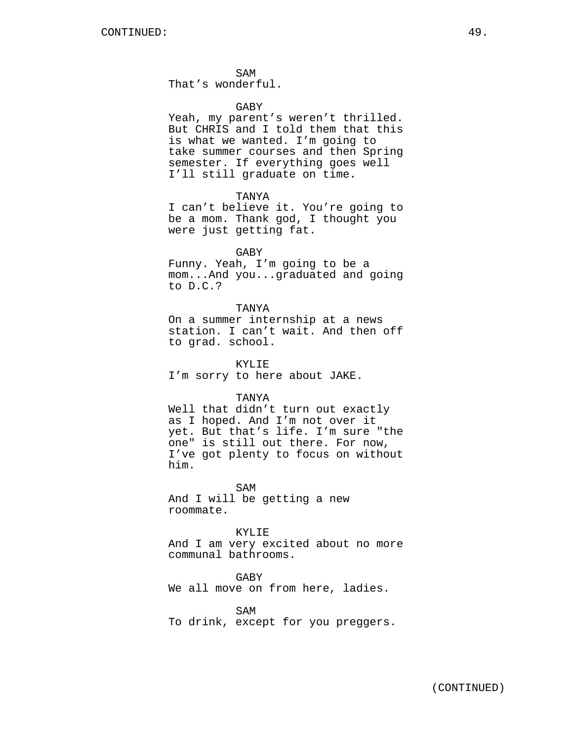SAM

That's wonderful.

### GABY

Yeah, my parent's weren't thrilled. But CHRIS and I told them that this is what we wanted. I'm going to take summer courses and then Spring semester. If everything goes well I'll still graduate on time.

### TANYA

I can't believe it. You're going to be a mom. Thank god, I thought you were just getting fat.

## GABY

Funny. Yeah, I'm going to be a mom...And you...graduated and going to D.C.?

## TANYA

On a summer internship at a news station. I can't wait. And then off to grad. school.

KYLIE I'm sorry to here about JAKE.

#### TANYA

Well that didn't turn out exactly as I hoped. And I'm not over it yet. But that's life. I'm sure "the one" is still out there. For now, I've got plenty to focus on without him.

SAM And I will be getting a new roommate.

KYLIE

And I am very excited about no more communal bathrooms.

GABY

We all move on from here, ladies.

SAM

To drink, except for you preggers.